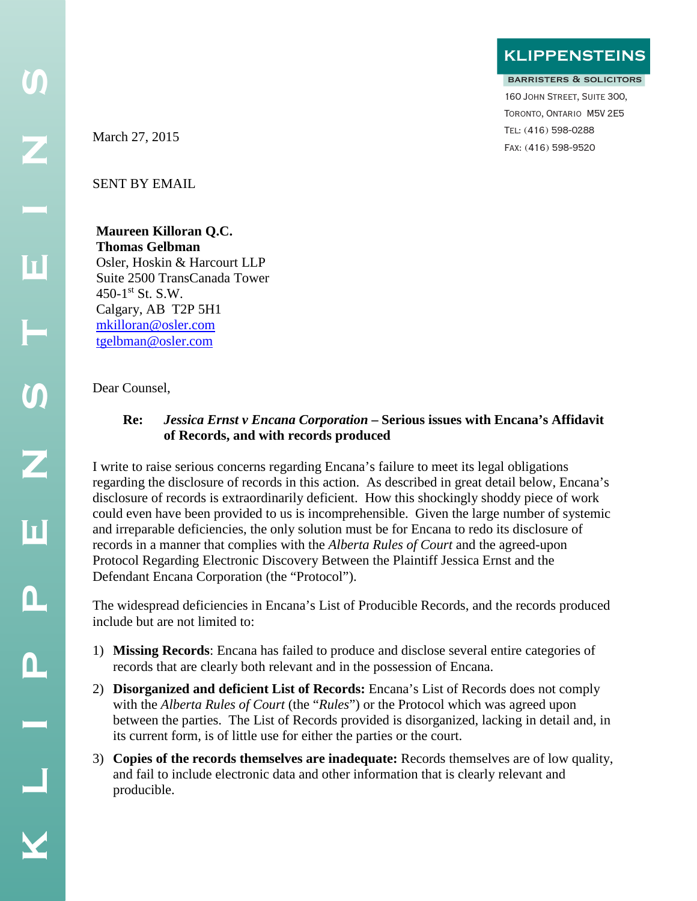**klippensteins**

#### barristers & solicitors

160 John Street, Suite 300, Toronto, Ontario M5V 2E5 Tel: (416) 598-0288 Fax: (416) 598-9520

SENT BY EMAIL

# **Maureen Killoran Q.C. Thomas Gelbman**

Osler, Hoskin & Harcourt LLP Suite 2500 TransCanada Tower 450-1st St. S.W. Calgary, AB T2P 5H1 [mkilloran@osler.com](mailto:mkilloran@osler.com) [tgelbman@osler.com](mailto:tgelbman@osler.com)

Dear Counsel,

## **Re:** *Jessica Ernst v Encana Corporation* **– Serious issues with Encana's Affidavit of Records, and with records produced**

I write to raise serious concerns regarding Encana's failure to meet its legal obligations regarding the disclosure of records in this action. As described in great detail below, Encana's disclosure of records is extraordinarily deficient. How this shockingly shoddy piece of work could even have been provided to us is incomprehensible. Given the large number of systemic and irreparable deficiencies, the only solution must be for Encana to redo its disclosure of records in a manner that complies with the *Alberta Rules of Court* and the agreed-upon Protocol Regarding Electronic Discovery Between the Plaintiff Jessica Ernst and the Defendant Encana Corporation (the "Protocol").

The widespread deficiencies in Encana's List of Producible Records, and the records produced include but are not limited to:

- 1) **Missing Records**: Encana has failed to produce and disclose several entire categories of records that are clearly both relevant and in the possession of Encana.
- 2) **Disorganized and deficient List of Records:** Encana's List of Records does not comply with the *Alberta Rules of Court* (the "*Rules*") or the Protocol which was agreed upon between the parties. The List of Records provided is disorganized, lacking in detail and, in its current form, is of little use for either the parties or the court.
- 3) **Copies of the records themselves are inadequate:** Records themselves are of low quality, and fail to include electronic data and other information that is clearly relevant and producible.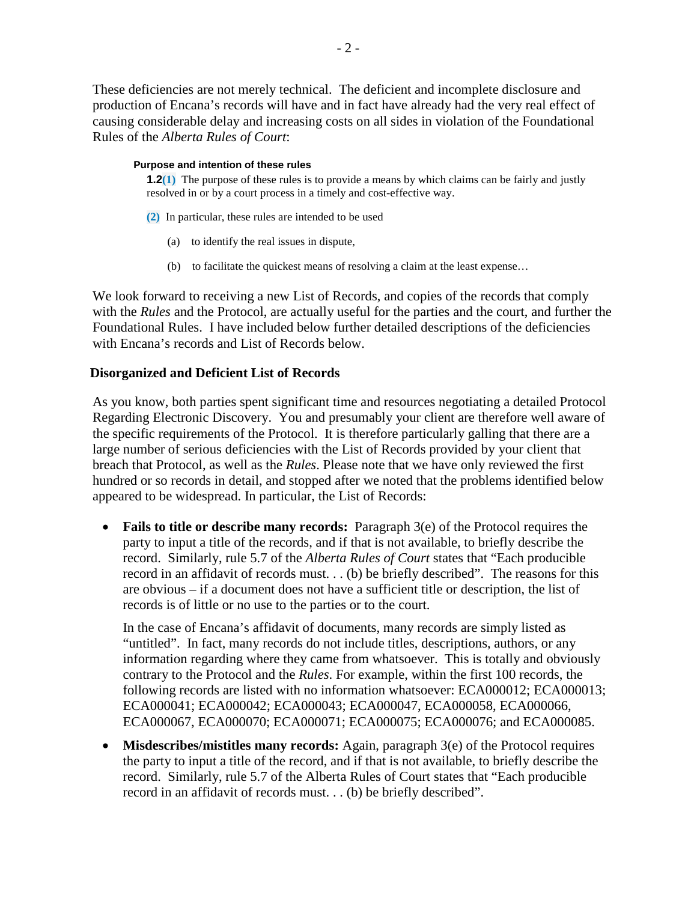These deficiencies are not merely technical. The deficient and incomplete disclosure and production of Encana's records will have and in fact have already had the very real effect of causing considerable delay and increasing costs on all sides in violation of the Foundational Rules of the *Alberta Rules of Court*:

#### **Purpose and intention of these rules**

**1.2(1)** The purpose of these rules is to provide a means by which claims can be fairly and justly resolved in or by a court process in a timely and cost-effective way.

- **(2)** In particular, these rules are intended to be used
	- (a) to identify the real issues in dispute,
	- (b) to facilitate the quickest means of resolving a claim at the least expense…

We look forward to receiving a new List of Records, and copies of the records that comply with the *Rules* and the Protocol, are actually useful for the parties and the court, and further the Foundational Rules. I have included below further detailed descriptions of the deficiencies with Encana's records and List of Records below.

## **Disorganized and Deficient List of Records**

As you know, both parties spent significant time and resources negotiating a detailed Protocol Regarding Electronic Discovery. You and presumably your client are therefore well aware of the specific requirements of the Protocol. It is therefore particularly galling that there are a large number of serious deficiencies with the List of Records provided by your client that breach that Protocol, as well as the *Rules*. Please note that we have only reviewed the first hundred or so records in detail, and stopped after we noted that the problems identified below appeared to be widespread. In particular, the List of Records:

• **Fails to title or describe many records:** Paragraph 3(e) of the Protocol requires the party to input a title of the records, and if that is not available, to briefly describe the record. Similarly, rule 5.7 of the *Alberta Rules of Court* states that "Each producible record in an affidavit of records must. . . (b) be briefly described". The reasons for this are obvious – if a document does not have a sufficient title or description, the list of records is of little or no use to the parties or to the court.

In the case of Encana's affidavit of documents, many records are simply listed as "untitled". In fact, many records do not include titles, descriptions, authors, or any information regarding where they came from whatsoever. This is totally and obviously contrary to the Protocol and the *Rules*. For example, within the first 100 records, the following records are listed with no information whatsoever: ECA000012; ECA000013; ECA000041; ECA000042; ECA000043; ECA000047, ECA000058, ECA000066, ECA000067, ECA000070; ECA000071; ECA000075; ECA000076; and ECA000085.

• **Misdescribes/mistitles many records:** Again, paragraph 3(e) of the Protocol requires the party to input a title of the record, and if that is not available, to briefly describe the record. Similarly, rule 5.7 of the Alberta Rules of Court states that "Each producible record in an affidavit of records must. . . (b) be briefly described".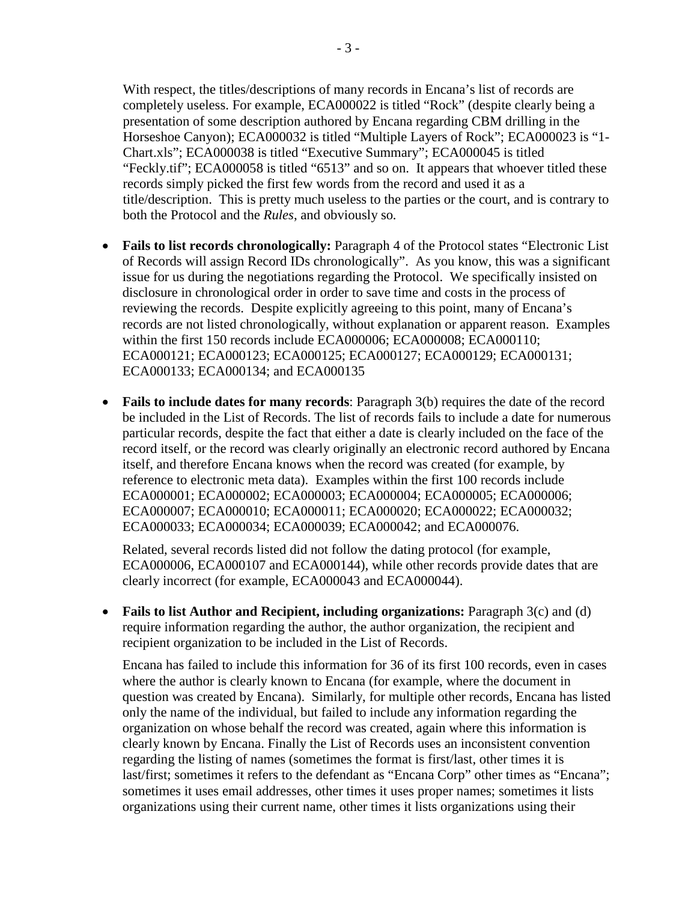- 3 -

With respect, the titles/descriptions of many records in Encana's list of records are completely useless. For example, ECA000022 is titled "Rock" (despite clearly being a presentation of some description authored by Encana regarding CBM drilling in the Horseshoe Canyon); ECA000032 is titled "Multiple Layers of Rock"; ECA000023 is "1- Chart.xls"; ECA000038 is titled "Executive Summary"; ECA000045 is titled "Feckly.tif"; ECA000058 is titled "6513" and so on. It appears that whoever titled these records simply picked the first few words from the record and used it as a title/description. This is pretty much useless to the parties or the court, and is contrary to both the Protocol and the *Rules*, and obviously so*.*

- **Fails to list records chronologically:** Paragraph 4 of the Protocol states "Electronic List" of Records will assign Record IDs chronologically". As you know, this was a significant issue for us during the negotiations regarding the Protocol. We specifically insisted on disclosure in chronological order in order to save time and costs in the process of reviewing the records. Despite explicitly agreeing to this point, many of Encana's records are not listed chronologically, without explanation or apparent reason. Examples within the first 150 records include ECA000006; ECA000008; ECA000110; ECA000121; ECA000123; ECA000125; ECA000127; ECA000129; ECA000131; ECA000133; ECA000134; and ECA000135
- **Fails to include dates for many records**: Paragraph 3(b) requires the date of the record be included in the List of Records. The list of records fails to include a date for numerous particular records, despite the fact that either a date is clearly included on the face of the record itself, or the record was clearly originally an electronic record authored by Encana itself, and therefore Encana knows when the record was created (for example, by reference to electronic meta data). Examples within the first 100 records include ECA000001; ECA000002; ECA000003; ECA000004; ECA000005; ECA000006; ECA000007; ECA000010; ECA000011; ECA000020; ECA000022; ECA000032; ECA000033; ECA000034; ECA000039; ECA000042; and ECA000076.

Related, several records listed did not follow the dating protocol (for example, ECA000006, ECA000107 and ECA000144), while other records provide dates that are clearly incorrect (for example, ECA000043 and ECA000044).

• **Fails to list Author and Recipient, including organizations:** Paragraph 3(c) and (d) require information regarding the author, the author organization, the recipient and recipient organization to be included in the List of Records.

Encana has failed to include this information for 36 of its first 100 records, even in cases where the author is clearly known to Encana (for example, where the document in question was created by Encana). Similarly, for multiple other records, Encana has listed only the name of the individual, but failed to include any information regarding the organization on whose behalf the record was created, again where this information is clearly known by Encana. Finally the List of Records uses an inconsistent convention regarding the listing of names (sometimes the format is first/last, other times it is last/first; sometimes it refers to the defendant as "Encana Corp" other times as "Encana"; sometimes it uses email addresses, other times it uses proper names; sometimes it lists organizations using their current name, other times it lists organizations using their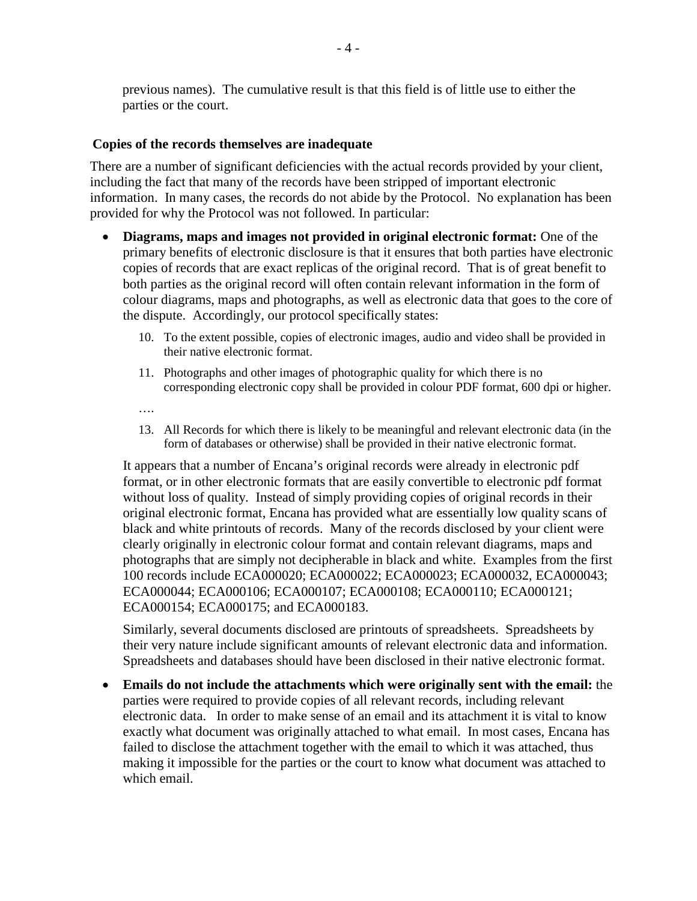previous names). The cumulative result is that this field is of little use to either the parties or the court.

### **Copies of the records themselves are inadequate**

There are a number of significant deficiencies with the actual records provided by your client, including the fact that many of the records have been stripped of important electronic information. In many cases, the records do not abide by the Protocol. No explanation has been provided for why the Protocol was not followed. In particular:

- **Diagrams, maps and images not provided in original electronic format:** One of the primary benefits of electronic disclosure is that it ensures that both parties have electronic copies of records that are exact replicas of the original record. That is of great benefit to both parties as the original record will often contain relevant information in the form of colour diagrams, maps and photographs, as well as electronic data that goes to the core of the dispute. Accordingly, our protocol specifically states:
	- 10. To the extent possible, copies of electronic images, audio and video shall be provided in their native electronic format.
	- 11. Photographs and other images of photographic quality for which there is no corresponding electronic copy shall be provided in colour PDF format, 600 dpi or higher.
	- ….
	- 13. All Records for which there is likely to be meaningful and relevant electronic data (in the form of databases or otherwise) shall be provided in their native electronic format.

It appears that a number of Encana's original records were already in electronic pdf format, or in other electronic formats that are easily convertible to electronic pdf format without loss of quality. Instead of simply providing copies of original records in their original electronic format, Encana has provided what are essentially low quality scans of black and white printouts of records. Many of the records disclosed by your client were clearly originally in electronic colour format and contain relevant diagrams, maps and photographs that are simply not decipherable in black and white. Examples from the first 100 records include ECA000020; ECA000022; ECA000023; ECA000032, ECA000043; ECA000044; ECA000106; ECA000107; ECA000108; ECA000110; ECA000121; ECA000154; ECA000175; and ECA000183.

Similarly, several documents disclosed are printouts of spreadsheets. Spreadsheets by their very nature include significant amounts of relevant electronic data and information. Spreadsheets and databases should have been disclosed in their native electronic format.

• **Emails do not include the attachments which were originally sent with the email:** the parties were required to provide copies of all relevant records, including relevant electronic data. In order to make sense of an email and its attachment it is vital to know exactly what document was originally attached to what email. In most cases, Encana has failed to disclose the attachment together with the email to which it was attached, thus making it impossible for the parties or the court to know what document was attached to which email.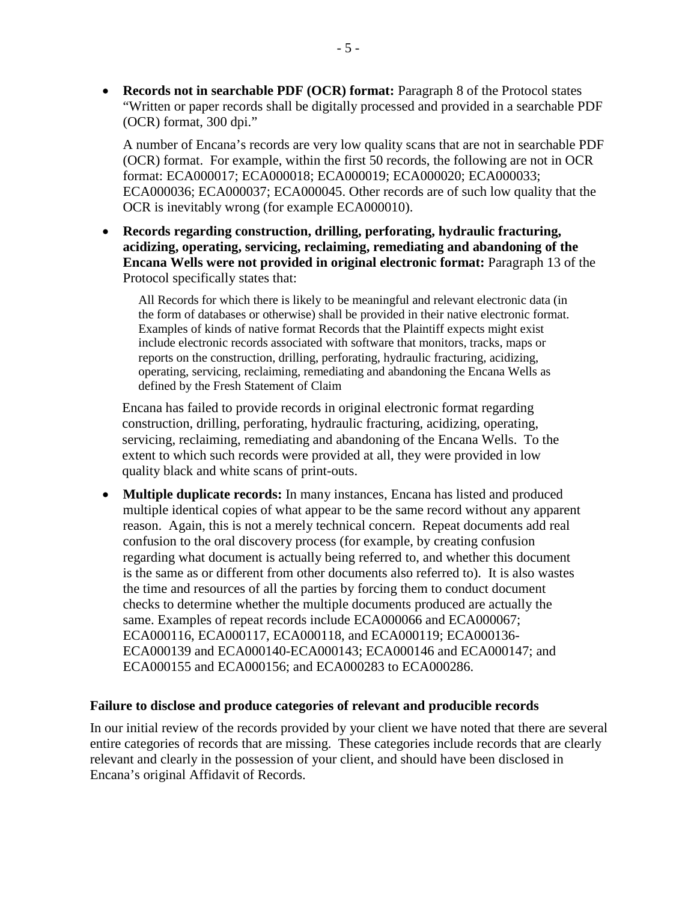• **Records not in searchable PDF (OCR) format:** Paragraph 8 of the Protocol states "Written or paper records shall be digitally processed and provided in a searchable PDF (OCR) format, 300 dpi."

A number of Encana's records are very low quality scans that are not in searchable PDF (OCR) format. For example, within the first 50 records, the following are not in OCR format: ECA000017; ECA000018; ECA000019; ECA000020; ECA000033; ECA000036; ECA000037; ECA000045. Other records are of such low quality that the OCR is inevitably wrong (for example ECA000010).

• **Records regarding construction, drilling, perforating, hydraulic fracturing, acidizing, operating, servicing, reclaiming, remediating and abandoning of the Encana Wells were not provided in original electronic format:** Paragraph 13 of the Protocol specifically states that:

All Records for which there is likely to be meaningful and relevant electronic data (in the form of databases or otherwise) shall be provided in their native electronic format. Examples of kinds of native format Records that the Plaintiff expects might exist include electronic records associated with software that monitors, tracks, maps or reports on the construction, drilling, perforating, hydraulic fracturing, acidizing, operating, servicing, reclaiming, remediating and abandoning the Encana Wells as defined by the Fresh Statement of Claim

Encana has failed to provide records in original electronic format regarding construction, drilling, perforating, hydraulic fracturing, acidizing, operating, servicing, reclaiming, remediating and abandoning of the Encana Wells. To the extent to which such records were provided at all, they were provided in low quality black and white scans of print-outs.

• **Multiple duplicate records:** In many instances, Encana has listed and produced multiple identical copies of what appear to be the same record without any apparent reason. Again, this is not a merely technical concern. Repeat documents add real confusion to the oral discovery process (for example, by creating confusion regarding what document is actually being referred to, and whether this document is the same as or different from other documents also referred to). It is also wastes the time and resources of all the parties by forcing them to conduct document checks to determine whether the multiple documents produced are actually the same. Examples of repeat records include ECA000066 and ECA000067; ECA000116, ECA000117, ECA000118, and ECA000119; ECA000136- ECA000139 and ECA000140-ECA000143; ECA000146 and ECA000147; and ECA000155 and ECA000156; and ECA000283 to ECA000286.

#### **Failure to disclose and produce categories of relevant and producible records**

In our initial review of the records provided by your client we have noted that there are several entire categories of records that are missing. These categories include records that are clearly relevant and clearly in the possession of your client, and should have been disclosed in Encana's original Affidavit of Records.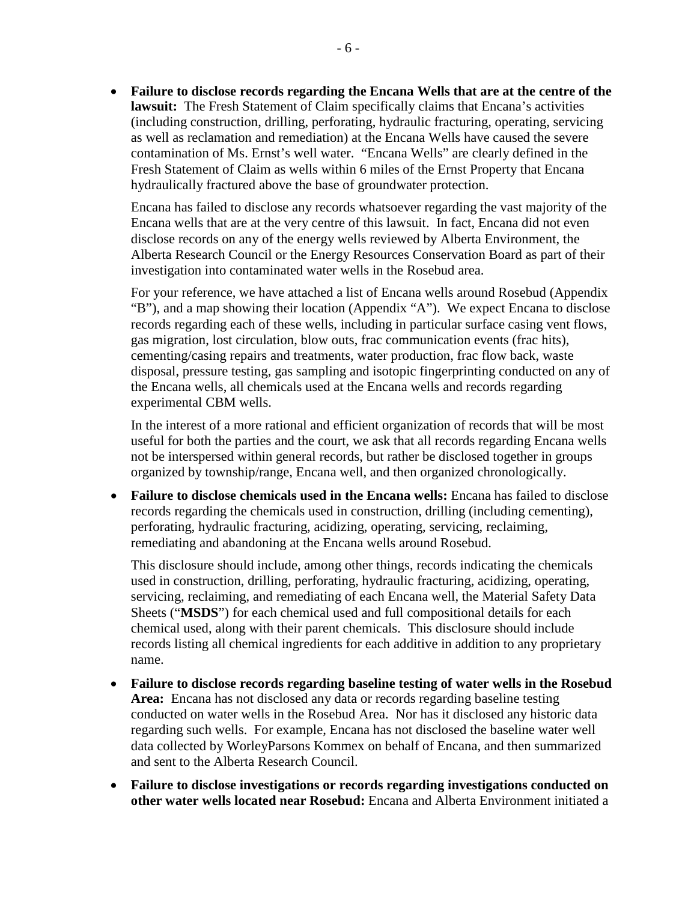• **Failure to disclose records regarding the Encana Wells that are at the centre of the lawsuit:** The Fresh Statement of Claim specifically claims that Encana's activities (including construction, drilling, perforating, hydraulic fracturing, operating, servicing as well as reclamation and remediation) at the Encana Wells have caused the severe contamination of Ms. Ernst's well water. "Encana Wells" are clearly defined in the Fresh Statement of Claim as wells within 6 miles of the Ernst Property that Encana hydraulically fractured above the base of groundwater protection.

Encana has failed to disclose any records whatsoever regarding the vast majority of the Encana wells that are at the very centre of this lawsuit. In fact, Encana did not even disclose records on any of the energy wells reviewed by Alberta Environment, the Alberta Research Council or the Energy Resources Conservation Board as part of their investigation into contaminated water wells in the Rosebud area.

For your reference, we have attached a list of Encana wells around Rosebud (Appendix "B"), and a map showing their location (Appendix "A"). We expect Encana to disclose records regarding each of these wells, including in particular surface casing vent flows, gas migration, lost circulation, blow outs, frac communication events (frac hits), cementing/casing repairs and treatments, water production, frac flow back, waste disposal, pressure testing, gas sampling and isotopic fingerprinting conducted on any of the Encana wells, all chemicals used at the Encana wells and records regarding experimental CBM wells.

In the interest of a more rational and efficient organization of records that will be most useful for both the parties and the court, we ask that all records regarding Encana wells not be interspersed within general records, but rather be disclosed together in groups organized by township/range, Encana well, and then organized chronologically.

• **Failure to disclose chemicals used in the Encana wells:** Encana has failed to disclose records regarding the chemicals used in construction, drilling (including cementing), perforating, hydraulic fracturing, acidizing, operating, servicing, reclaiming, remediating and abandoning at the Encana wells around Rosebud.

This disclosure should include, among other things, records indicating the chemicals used in construction, drilling, perforating, hydraulic fracturing, acidizing, operating, servicing, reclaiming, and remediating of each Encana well, the Material Safety Data Sheets ("**MSDS**") for each chemical used and full compositional details for each chemical used, along with their parent chemicals. This disclosure should include records listing all chemical ingredients for each additive in addition to any proprietary name.

- **Failure to disclose records regarding baseline testing of water wells in the Rosebud Area:** Encana has not disclosed any data or records regarding baseline testing conducted on water wells in the Rosebud Area. Nor has it disclosed any historic data regarding such wells. For example, Encana has not disclosed the baseline water well data collected by WorleyParsons Kommex on behalf of Encana, and then summarized and sent to the Alberta Research Council.
- **Failure to disclose investigations or records regarding investigations conducted on other water wells located near Rosebud:** Encana and Alberta Environment initiated a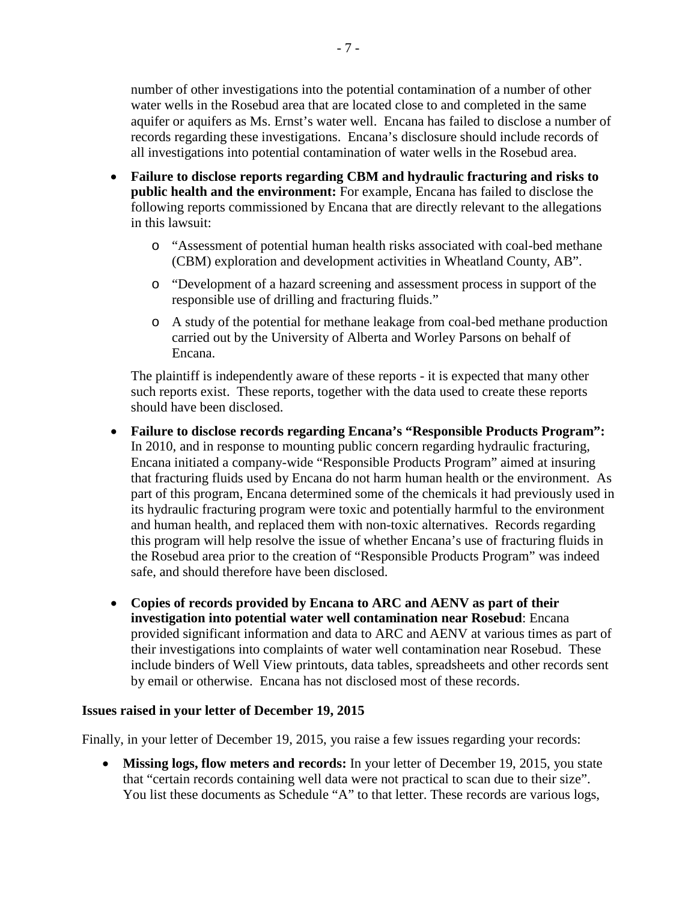number of other investigations into the potential contamination of a number of other water wells in the Rosebud area that are located close to and completed in the same aquifer or aquifers as Ms. Ernst's water well. Encana has failed to disclose a number of records regarding these investigations. Encana's disclosure should include records of all investigations into potential contamination of water wells in the Rosebud area.

- **Failure to disclose reports regarding CBM and hydraulic fracturing and risks to public health and the environment:** For example, Encana has failed to disclose the following reports commissioned by Encana that are directly relevant to the allegations in this lawsuit:
	- o "Assessment of potential human health risks associated with coal-bed methane (CBM) exploration and development activities in Wheatland County, AB".
	- o "Development of a hazard screening and assessment process in support of the responsible use of drilling and fracturing fluids."
	- o A study of the potential for methane leakage from coal-bed methane production carried out by the University of Alberta and Worley Parsons on behalf of Encana.

The plaintiff is independently aware of these reports - it is expected that many other such reports exist. These reports, together with the data used to create these reports should have been disclosed.

- **Failure to disclose records regarding Encana's "Responsible Products Program":** In 2010, and in response to mounting public concern regarding hydraulic fracturing, Encana initiated a company-wide "Responsible Products Program" aimed at insuring that fracturing fluids used by Encana do not harm human health or the environment. As part of this program, Encana determined some of the chemicals it had previously used in its hydraulic fracturing program were toxic and potentially harmful to the environment and human health, and replaced them with non-toxic alternatives. Records regarding this program will help resolve the issue of whether Encana's use of fracturing fluids in the Rosebud area prior to the creation of "Responsible Products Program" was indeed safe, and should therefore have been disclosed.
- **Copies of records provided by Encana to ARC and AENV as part of their investigation into potential water well contamination near Rosebud**: Encana provided significant information and data to ARC and AENV at various times as part of their investigations into complaints of water well contamination near Rosebud. These include binders of Well View printouts, data tables, spreadsheets and other records sent by email or otherwise. Encana has not disclosed most of these records.

### **Issues raised in your letter of December 19, 2015**

Finally, in your letter of December 19, 2015, you raise a few issues regarding your records:

• **Missing logs, flow meters and records:** In your letter of December 19, 2015, you state that "certain records containing well data were not practical to scan due to their size". You list these documents as Schedule "A" to that letter. These records are various logs,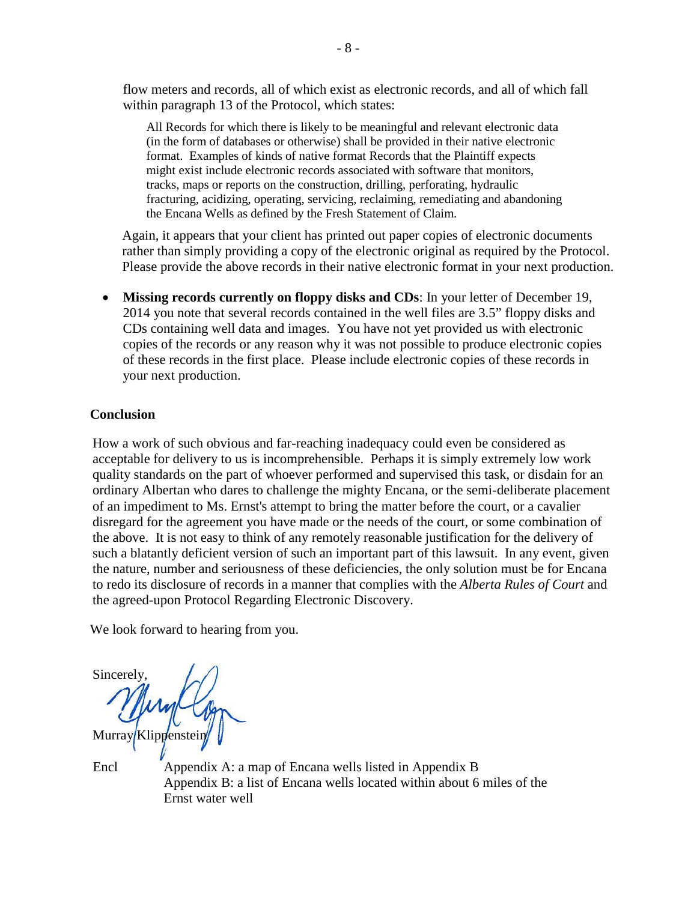flow meters and records, all of which exist as electronic records, and all of which fall within paragraph 13 of the Protocol, which states:

All Records for which there is likely to be meaningful and relevant electronic data (in the form of databases or otherwise) shall be provided in their native electronic format. Examples of kinds of native format Records that the Plaintiff expects might exist include electronic records associated with software that monitors, tracks, maps or reports on the construction, drilling, perforating, hydraulic fracturing, acidizing, operating, servicing, reclaiming, remediating and abandoning the Encana Wells as defined by the Fresh Statement of Claim.

Again, it appears that your client has printed out paper copies of electronic documents rather than simply providing a copy of the electronic original as required by the Protocol. Please provide the above records in their native electronic format in your next production.

• **Missing records currently on floppy disks and CDs**: In your letter of December 19, 2014 you note that several records contained in the well files are 3.5" floppy disks and CDs containing well data and images. You have not yet provided us with electronic copies of the records or any reason why it was not possible to produce electronic copies of these records in the first place. Please include electronic copies of these records in your next production.

## **Conclusion**

How a work of such obvious and far-reaching inadequacy could even be considered as acceptable for delivery to us is incomprehensible. Perhaps it is simply extremely low work quality standards on the part of whoever performed and supervised this task, or disdain for an ordinary Albertan who dares to challenge the mighty Encana, or the semi-deliberate placement of an impediment to Ms. Ernst's attempt to bring the matter before the court, or a cavalier disregard for the agreement you have made or the needs of the court, or some combination of the above. It is not easy to think of any remotely reasonable justification for the delivery of such a blatantly deficient version of such an important part of this lawsuit. In any event, given the nature, number and seriousness of these deficiencies, the only solution must be for Encana to redo its disclosure of records in a manner that complies with the *Alberta Rules of Court* and the agreed-upon Protocol Regarding Electronic Discovery.

We look forward to hearing from you.

**Sincerely** Murray Klippenstein

Encl Appendix A: a map of Encana wells listed in Appendix B Appendix B: a list of Encana wells located within about 6 miles of the Ernst water well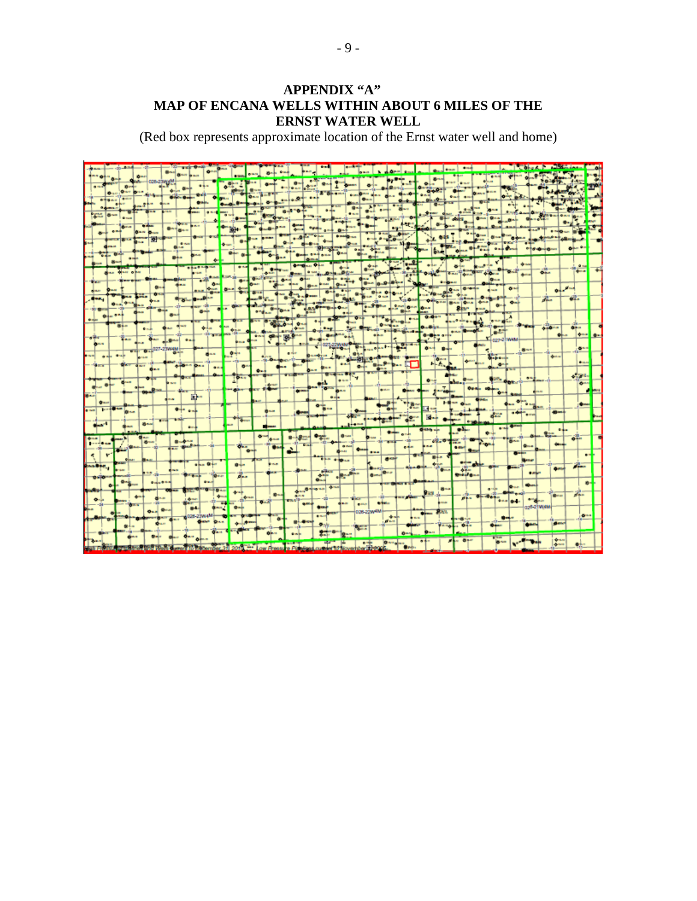## **APPENDIX "A" MAP OF ENCANA WELLS WITHIN ABOUT 6 MILES OF THE ERNST WATER WELL**

(Red box represents approximate location of the Ernst water well and home)

|           |                  |                  | $\delta$ -              |            |                     |                                   |                  |                      |      |                  |                        |                           |                   |                              |                 |                    |                  |                      |               |                   |                          |               |                   |                                      |                 |                     |                  |                    |                   |                |              |                            |                |  |
|-----------|------------------|------------------|-------------------------|------------|---------------------|-----------------------------------|------------------|----------------------|------|------------------|------------------------|---------------------------|-------------------|------------------------------|-----------------|--------------------|------------------|----------------------|---------------|-------------------|--------------------------|---------------|-------------------|--------------------------------------|-----------------|---------------------|------------------|--------------------|-------------------|----------------|--------------|----------------------------|----------------|--|
|           |                  | $\mathbf{0}$     |                         |            | $-028 - 237 + 45$   |                                   | $8-$             |                      |      |                  |                        |                           |                   |                              |                 |                    |                  |                      |               |                   |                          |               | $rac{1}{2}$       |                                      |                 |                     |                  |                    |                   |                |              |                            |                |  |
|           |                  | $Q_{\text{max}}$ | $\overline{\mathbf{a}}$ | -following |                     | $\mathbf{G}$<br><b>Gifty Grey</b> |                  |                      |      |                  |                        |                           |                   |                              |                 |                    |                  |                      |               |                   |                          |               |                   |                                      |                 |                     |                  |                    |                   |                |              |                            |                |  |
|           |                  |                  |                         |            |                     |                                   |                  | $rac{1}{2}$          |      | $0 - 0 - 0$      |                        |                           |                   |                              |                 |                    |                  |                      |               |                   |                          |               |                   |                                      |                 |                     |                  |                    |                   |                |              |                            |                |  |
|           | $8 -$            |                  |                         |            |                     |                                   |                  | <b>BLACK</b><br>ma i |      |                  |                        |                           | <b>Brott</b> Land | 8-470                        |                 |                    |                  |                      |               |                   |                          |               |                   |                                      |                 |                     |                  |                    |                   |                |              |                            |                |  |
|           |                  | <b>B</b> tale    |                         |            |                     | <b>Star of</b>                    |                  |                      |      | $\bullet$        |                        |                           |                   |                              |                 |                    |                  |                      |               |                   |                          |               |                   |                                      |                 |                     |                  |                    |                   |                |              |                            |                |  |
|           |                  | <b>O</b> man     |                         | Sec. 6     |                     | 0.1811                            |                  |                      |      | <b>Service</b>   |                        |                           |                   |                              |                 |                    |                  |                      |               |                   |                          |               |                   |                                      |                 |                     |                  |                    |                   |                |              |                            |                |  |
|           |                  |                  | s.                      |            | 图                   |                                   |                  |                      |      |                  |                        |                           |                   |                              |                 |                    |                  | <b>DISABILITIES</b>  |               | <b>Bride Pres</b> |                          |               |                   |                                      |                 |                     |                  |                    |                   |                |              |                            |                |  |
|           |                  |                  |                         |            |                     | $\frac{1}{2}$                     |                  |                      |      |                  |                        |                           |                   |                              |                 |                    |                  |                      |               |                   |                          |               |                   |                                      |                 |                     |                  |                    |                   |                |              |                            |                |  |
|           |                  |                  |                         |            |                     | $B + 1$                           |                  |                      |      | $Q_{\text{max}}$ | $\bullet$              |                           |                   |                              |                 |                    |                  |                      |               |                   |                          |               |                   |                                      |                 |                     |                  |                    |                   |                |              |                            |                |  |
|           |                  |                  |                         |            |                     |                                   |                  |                      |      | 8154             |                        |                           |                   |                              |                 |                    |                  |                      |               |                   |                          |               |                   |                                      |                 |                     |                  |                    |                   |                |              |                            |                |  |
|           |                  |                  | <b>COMPANY</b>          |            |                     |                                   |                  |                      |      |                  |                        |                           |                   |                              |                 |                    |                  |                      |               |                   |                          |               |                   |                                      |                 |                     | <b>Gradu</b> man |                    |                   |                | $Q$ is an    |                            |                |  |
|           |                  |                  |                         |            |                     |                                   |                  |                      |      | $\mathbf{a}$     |                        |                           | $\mathbf{a}$      |                              |                 |                    |                  |                      |               |                   |                          |               |                   |                                      |                 |                     |                  |                    |                   |                |              |                            |                |  |
|           |                  |                  |                         |            | $0 -$               |                                   |                  |                      |      |                  |                        |                           |                   |                              |                 |                    |                  |                      |               |                   |                          |               |                   |                                      |                 |                     |                  |                    | $0 - 1$           |                |              | $0 + e^{i\theta + \alpha}$ |                |  |
|           | $\bullet$ is an  |                  |                         |            | 18.8                | <b>Drafts</b>                     |                  |                      |      |                  |                        |                           |                   | $\bullet$                    | <b>View</b>     |                    |                  |                      |               |                   |                          |               |                   |                                      |                 |                     |                  |                    | $Q_{m+1}$         |                | dia.         |                            | $0 -$          |  |
|           |                  |                  |                         |            | $0 -$               |                                   |                  | $\bullet$            |      |                  |                        |                           | $0 - 1$           |                              |                 |                    |                  |                      |               |                   |                          |               |                   |                                      | Star-           |                     |                  | $\bullet$          |                   |                |              |                            |                |  |
| $\bullet$ |                  |                  |                         |            |                     |                                   |                  |                      |      |                  |                        |                           |                   |                              |                 |                    |                  |                      |               |                   | <b>U-II</b>              | $\bullet$     | $0.0 + 1$         |                                      |                 |                     |                  | <b>START BOARD</b> |                   |                |              |                            |                |  |
|           |                  | 84.0             |                         |            |                     |                                   |                  |                      |      |                  |                        |                           |                   |                              |                 |                    |                  |                      |               |                   | <b>Changes</b>           |               |                   |                                      |                 |                     |                  |                    |                   |                | <b>SHOWS</b> |                            | <b>An.</b>     |  |
|           |                  |                  |                         |            |                     |                                   |                  |                      |      |                  |                        | and the                   |                   | . E.,                        |                 |                    |                  |                      |               |                   |                          |               | <b>Graecia</b>    |                                      |                 |                     |                  | $-27$<br>027-21W4M |                   |                |              | $\bullet$                  | $+1$           |  |
|           |                  |                  |                         |            |                     | $.0 - 4$                          | $2 - 1$          |                      |      |                  |                        |                           |                   |                              |                 |                    |                  |                      |               |                   |                          |               | $8 - 4$           |                                      |                 |                     |                  |                    |                   |                |              |                            | $\bullet$      |  |
|           | $10 - 9$         |                  |                         |            | 027-23W4M           |                                   |                  | 844                  |      | $\bullet$        |                        |                           |                   | e <sup>1/2</sup>             |                 | a mbria            |                  |                      |               |                   |                          |               |                   | <b>District</b>                      |                 |                     |                  | $5 - 1 - 1$        |                   | 8-1            |              | den                        |                |  |
|           |                  |                  |                         |            |                     |                                   | <b>GREEN DAY</b> |                      |      |                  |                        |                           | 18-Designati      |                              |                 |                    |                  |                      |               |                   |                          |               |                   | <b>There</b><br>$F = F_{\text{obs}}$ |                 |                     |                  | $\bullet$          |                   |                |              |                            | $\bullet$      |  |
|           |                  |                  |                         |            |                     |                                   |                  |                      | 44.1 |                  | $\bullet$              | $Q = 1$                   |                   |                              |                 |                    |                  |                      |               |                   |                          |               |                   |                                      |                 |                     |                  |                    |                   |                |              |                            |                |  |
|           |                  | $q_{\rm max}$    |                         |            |                     | ster.                             |                  |                      |      | Tr.              |                        |                           |                   |                              |                 |                    |                  | 1.11                 |               |                   |                          |               | $0 -$             |                                      |                 |                     |                  |                    |                   |                |              |                            | $-70$          |  |
|           | $-1$             |                  |                         |            |                     |                                   | <b>SHATE</b>     |                      |      | <b>Gibre</b>     |                        | $-10$                     | $6 - 1$           |                              | $\frac{1}{2}$   | and the sea        |                  | <b>BAN</b>           |               |                   | <b>B</b> Matt            | <b>Diener</b> |                   |                                      |                 | Oun                 |                  |                    |                   |                |              |                            |                |  |
|           |                  |                  |                         |            |                     |                                   | 화"               |                      |      |                  |                        |                           |                   |                              |                 |                    | <b>Girls</b>     |                      |               |                   |                          |               |                   |                                      |                 |                     |                  | $\bullet$          |                   |                |              |                            |                |  |
| $Q =$     | <b>Screeness</b> |                  |                         |            |                     |                                   |                  |                      |      |                  |                        |                           |                   |                              |                 | $-2.1$             |                  |                      |               |                   |                          |               |                   |                                      |                 |                     |                  |                    | $\bullet$         |                |              |                            |                |  |
|           |                  |                  | <b>BLACK</b>            |            |                     |                                   | <b>Ship and</b>  |                      |      |                  |                        |                           |                   |                              |                 |                    |                  |                      |               |                   |                          |               | <b>Sec.</b>       |                                      |                 |                     |                  |                    |                   |                |              | <b>Millen</b>              |                |  |
|           |                  |                  |                         | $8 -$      |                     |                                   |                  |                      |      |                  |                        |                           |                   |                              |                 |                    |                  |                      | <b>Birman</b> |                   |                          |               |                   |                                      |                 |                     |                  |                    |                   |                |              |                            |                |  |
|           |                  |                  |                         |            |                     |                                   |                  |                      |      |                  |                        | $\mathbf{O}^{\text{max}}$ |                   |                              |                 |                    |                  | 0                    |               |                   | $Q$ where                | a ruk         | <b>Grendy war</b> |                                      | <b>Chairman</b> |                     | $\bullet -$      | <b>CALL ON</b>     |                   |                |              |                            |                |  |
|           |                  |                  |                         | $0 -$      |                     | $B - A$                           | -                |                      |      |                  |                        |                           | di mar            |                              | مستوقده         |                    | ab-              |                      |               |                   |                          |               | 49.               |                                      |                 |                     |                  |                    |                   |                |              |                            | 0 <sup>1</sup> |  |
|           |                  |                  |                         |            |                     |                                   |                  |                      |      |                  | $Q_{n-1}$<br>$\bullet$ |                           | $\bullet$         |                              |                 |                    |                  | <b>BINA</b><br>85.88 |               | 884               |                          | 石本社           | 8.81              |                                      | <b>Gidan</b>    |                     |                  |                    |                   | $Q_{max}$      |              |                            |                |  |
|           |                  |                  |                         |            |                     |                                   |                  |                      |      |                  |                        |                           |                   |                              |                 |                    | <b>SAN CROSS</b> |                      |               |                   | ant                      |               |                   | $8 + 4$                              |                 |                     |                  |                    |                   | <b>Blue of</b> |              |                            |                |  |
| Ander.,   |                  |                  |                         |            |                     |                                   |                  | <b>Cina Great</b>    |      | $0 + 1$          |                        |                           | <b>Brazil</b>     |                              |                 |                    |                  |                      |               | <b>Burn</b>       |                          |               |                   |                                      | $4 + 4$         |                     |                  |                    |                   |                |              | <b>Quest</b>               |                |  |
|           |                  |                  |                         |            |                     |                                   |                  |                      |      | 2.               |                        |                           |                   |                              |                 | ۵Ť                 | a Braz           | <b>Barbara</b>       |               |                   | <b>Classed</b> Character |               |                   |                                      |                 | <b>Space Street</b> |                  |                    |                   | $-1$           |              |                            |                |  |
|           |                  |                  |                         |            | <b>Based Street</b> |                                   |                  | <b>Gast</b>          |      |                  |                        |                           |                   |                              |                 | <b>Suppose the</b> |                  |                      |               |                   |                          |               |                   |                                      |                 |                     |                  |                    |                   | <b>KONER</b>   |              |                            |                |  |
|           |                  |                  |                         |            |                     |                                   |                  |                      |      | $4 - 5$          |                        |                           | $0 -$             |                              | 0.15%           |                    |                  |                      |               |                   |                          |               | <b>Castle</b>     | 8-4                                  |                 |                     | $0 - 0 + 1$      |                    |                   |                |              | ساه                        |                |  |
|           |                  |                  |                         |            |                     |                                   |                  |                      |      |                  | de na                  |                           |                   | $\mathbf{m}$ of $\mathbf{P}$ | <b>SHOP</b>     |                    |                  | <b>Built</b>         | <b>BERRY</b>  |                   | <b>SPECIAL</b>           | --            |                   |                                      |                 | $B + n$             |                  |                    | <b>CHAIR BANK</b> | and            |              |                            |                |  |
|           |                  |                  |                         |            |                     |                                   | $\bullet$        |                      |      | $Q = 1$          |                        |                           |                   |                              |                 | <b>Grand</b>       |                  |                      |               | 026-22W4M         |                          |               |                   |                                      |                 |                     |                  |                    |                   |                | 026-21W4M    |                            |                |  |
|           |                  |                  |                         |            |                     |                                   |                  |                      |      |                  |                        |                           |                   |                              | <b>BRANDWAY</b> | <b>B</b> Nati      |                  |                      |               |                   | $\frac{1}{2}$<br>of such |               |                   |                                      |                 |                     |                  |                    |                   |                |              |                            | <b>COLLEGE</b> |  |
|           |                  | ٠                |                         |            | $Q_{max}$           |                                   |                  |                      |      |                  |                        |                           |                   |                              |                 |                    |                  |                      |               |                   |                          |               |                   |                                      |                 |                     |                  | $0 + 1$            |                   | <b>SAMP</b>    |              | gen.                       |                |  |
|           |                  |                  |                         |            |                     |                                   |                  |                      |      |                  |                        |                           |                   |                              |                 |                    |                  |                      |               |                   |                          |               |                   |                                      |                 |                     |                  |                    |                   |                |              |                            |                |  |
|           |                  |                  |                         |            |                     |                                   |                  |                      |      |                  |                        |                           |                   |                              |                 |                    |                  |                      |               |                   |                          |               |                   |                                      |                 |                     |                  |                    |                   |                |              |                            |                |  |
|           |                  |                  |                         |            |                     |                                   |                  |                      |      |                  |                        |                           |                   |                              |                 |                    |                  |                      |               |                   |                          |               |                   |                                      |                 |                     |                  |                    |                   |                |              |                            |                |  |
|           |                  |                  |                         |            |                     |                                   |                  |                      |      |                  |                        |                           |                   |                              |                 |                    |                  |                      |               |                   |                          |               |                   |                                      |                 |                     |                  |                    |                   |                |              |                            |                |  |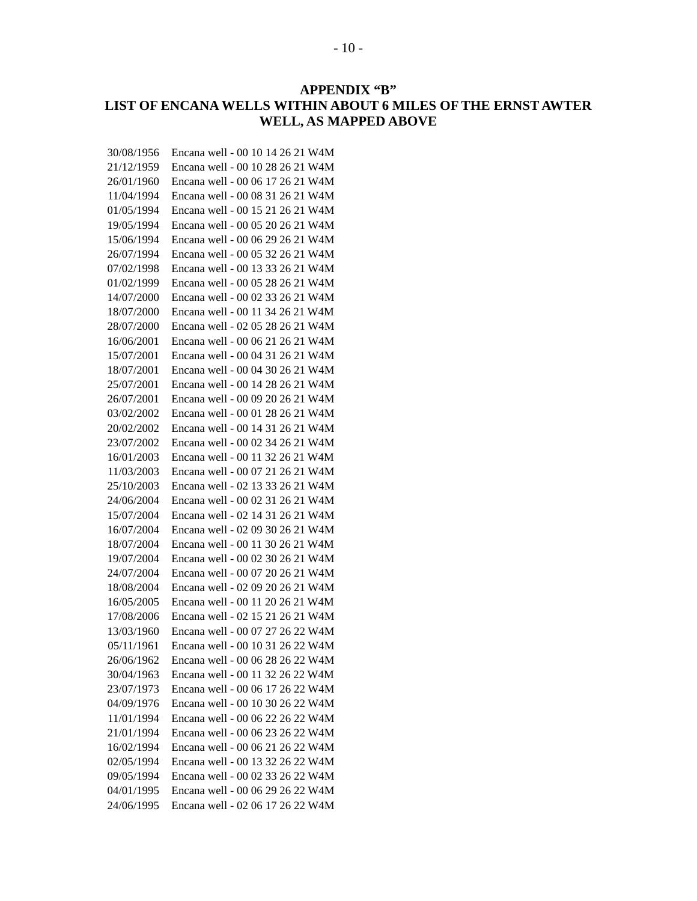## **APPENDIX "B" LIST OF ENCANA WELLS WITHIN ABOUT 6 MILES OF THE ERNST AWTER WELL, AS MAPPED ABOVE**

| 30/08/1956 | Encana well - 00 10 14 26 21 W4M |
|------------|----------------------------------|
| 21/12/1959 | Encana well - 00 10 28 26 21 W4M |
| 26/01/1960 | Encana well - 00 06 17 26 21 W4M |
| 11/04/1994 | Encana well - 00 08 31 26 21 W4M |
| 01/05/1994 | Encana well - 00 15 21 26 21 W4M |
| 19/05/1994 | Encana well - 00 05 20 26 21 W4M |
| 15/06/1994 | Encana well - 00 06 29 26 21 W4M |
| 26/07/1994 | Encana well - 00 05 32 26 21 W4M |
| 07/02/1998 | Encana well - 00 13 33 26 21 W4M |
| 01/02/1999 | Encana well - 00 05 28 26 21 W4M |
| 14/07/2000 | Encana well - 00 02 33 26 21 W4M |
| 18/07/2000 | Encana well - 00 11 34 26 21 W4M |
| 28/07/2000 | Encana well - 02 05 28 26 21 W4M |
| 16/06/2001 | Encana well - 00 06 21 26 21 W4M |
| 15/07/2001 | Encana well - 00 04 31 26 21 W4M |
| 18/07/2001 | Encana well - 00 04 30 26 21 W4M |
| 25/07/2001 | Encana well - 00 14 28 26 21 W4M |
| 26/07/2001 | Encana well - 00 09 20 26 21 W4M |
| 03/02/2002 | Encana well - 00 01 28 26 21 W4M |
| 20/02/2002 | Encana well - 00 14 31 26 21 W4M |
| 23/07/2002 | Encana well - 00 02 34 26 21 W4M |
| 16/01/2003 | Encana well - 00 11 32 26 21 W4M |
| 11/03/2003 | Encana well - 00 07 21 26 21 W4M |
| 25/10/2003 | Encana well - 02 13 33 26 21 W4M |
| 24/06/2004 | Encana well - 00 02 31 26 21 W4M |
| 15/07/2004 | Encana well - 02 14 31 26 21 W4M |
| 16/07/2004 | Encana well - 02 09 30 26 21 W4M |
| 18/07/2004 | Encana well - 00 11 30 26 21 W4M |
| 19/07/2004 | Encana well - 00 02 30 26 21 W4M |
| 24/07/2004 | Encana well - 00 07 20 26 21 W4M |
| 18/08/2004 | Encana well - 02 09 20 26 21 W4M |
| 16/05/2005 | Encana well - 00 11 20 26 21 W4M |
| 17/08/2006 | Encana well - 02 15 21 26 21 W4M |
| 13/03/1960 | Encana well - 00 07 27 26 22 W4M |
| 05/11/1961 | Encana well - 00 10 31 26 22 W4M |
| 26/06/1962 | Encana well - 00 06 28 26 22 W4M |
| 30/04/1963 | Encana well - 00 11 32 26 22 W4M |
| 23/07/1973 | Encana well - 00 06 17 26 22 W4M |
| 04/09/1976 | Encana well - 00 10 30 26 22 W4M |
| 11/01/1994 | Encana well - 00 06 22 26 22 W4M |
| 21/01/1994 | Encana well - 00 06 23 26 22 W4M |
| 16/02/1994 | Encana well - 00 06 21 26 22 W4M |
| 02/05/1994 | Encana well - 00 13 32 26 22 W4M |
| 09/05/1994 | Encana well - 00 02 33 26 22 W4M |
| 04/01/1995 | Encana well - 00 06 29 26 22 W4M |
| 24/06/1995 | Encana well - 02 06 17 26 22 W4M |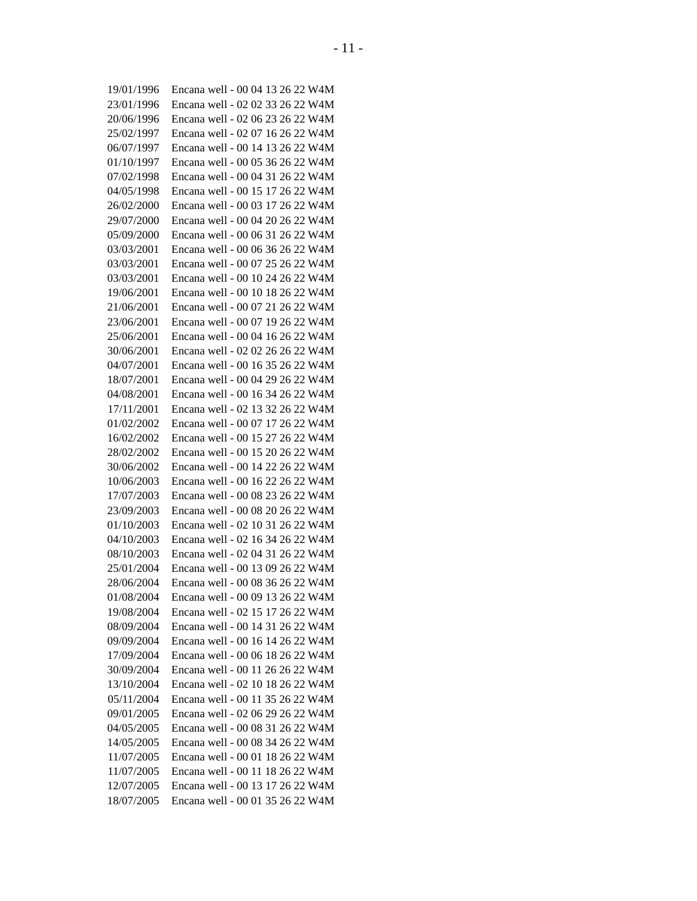| 19/01/1996 | Encana well - 00 04 13 26 22 W4M |
|------------|----------------------------------|
| 23/01/1996 | Encana well - 02 02 33 26 22 W4M |
| 20/06/1996 | Encana well - 02 06 23 26 22 W4M |
| 25/02/1997 | Encana well - 02 07 16 26 22 W4M |
| 06/07/1997 | Encana well - 00 14 13 26 22 W4M |
| 01/10/1997 | Encana well - 00 05 36 26 22 W4M |
| 07/02/1998 | Encana well - 00 04 31 26 22 W4M |
| 04/05/1998 | Encana well - 00 15 17 26 22 W4M |
| 26/02/2000 | Encana well - 00 03 17 26 22 W4M |
| 29/07/2000 | Encana well - 00 04 20 26 22 W4M |
| 05/09/2000 | Encana well - 00 06 31 26 22 W4M |
| 03/03/2001 | Encana well - 00 06 36 26 22 W4M |
| 03/03/2001 | Encana well - 00 07 25 26 22 W4M |
| 03/03/2001 | Encana well - 00 10 24 26 22 W4M |
| 19/06/2001 | Encana well - 00 10 18 26 22 W4M |
| 21/06/2001 | Encana well - 00 07 21 26 22 W4M |
| 23/06/2001 | Encana well - 00 07 19 26 22 W4M |
| 25/06/2001 | Encana well - 00 04 16 26 22 W4M |
| 30/06/2001 | Encana well - 02 02 26 26 22 W4M |
| 04/07/2001 | Encana well - 00 16 35 26 22 W4M |
| 18/07/2001 | Encana well - 00 04 29 26 22 W4M |
| 04/08/2001 | Encana well - 00 16 34 26 22 W4M |
| 17/11/2001 | Encana well - 02 13 32 26 22 W4M |
| 01/02/2002 | Encana well - 00 07 17 26 22 W4M |
| 16/02/2002 | Encana well - 00 15 27 26 22 W4M |
| 28/02/2002 | Encana well - 00 15 20 26 22 W4M |
| 30/06/2002 | Encana well - 00 14 22 26 22 W4M |
| 10/06/2003 | Encana well - 00 16 22 26 22 W4M |
| 17/07/2003 | Encana well - 00 08 23 26 22 W4M |
| 23/09/2003 | Encana well - 00 08 20 26 22 W4M |
| 01/10/2003 | Encana well - 02 10 31 26 22 W4M |
| 04/10/2003 | Encana well - 02 16 34 26 22 W4M |
| 08/10/2003 | Encana well - 02 04 31 26 22 W4M |
| 25/01/2004 | Encana well - 00 13 09 26 22 W4M |
| 28/06/2004 | Encana well - 00 08 36 26 22 W4M |
| 01/08/2004 | Encana well - 00 09 13 26 22 W4M |
| 19/08/2004 | Encana well - 02 15 17 26 22 W4M |
| 08/09/2004 | Encana well - 00 14 31 26 22 W4M |
| 09/09/2004 | Encana well - 00 16 14 26 22 W4M |
| 17/09/2004 | Encana well - 00 06 18 26 22 W4M |
| 30/09/2004 | Encana well - 00 11 26 26 22 W4M |
| 13/10/2004 | Encana well - 02 10 18 26 22 W4M |
| 05/11/2004 | Encana well - 00 11 35 26 22 W4M |
| 09/01/2005 | Encana well - 02 06 29 26 22 W4M |
| 04/05/2005 | Encana well - 00 08 31 26 22 W4M |
| 14/05/2005 | Encana well - 00 08 34 26 22 W4M |
| 11/07/2005 | Encana well - 00 01 18 26 22 W4M |
| 11/07/2005 | Encana well - 00 11 18 26 22 W4M |
| 12/07/2005 | Encana well - 00 13 17 26 22 W4M |
| 18/07/2005 | Encana well - 00 01 35 26 22 W4M |
|            |                                  |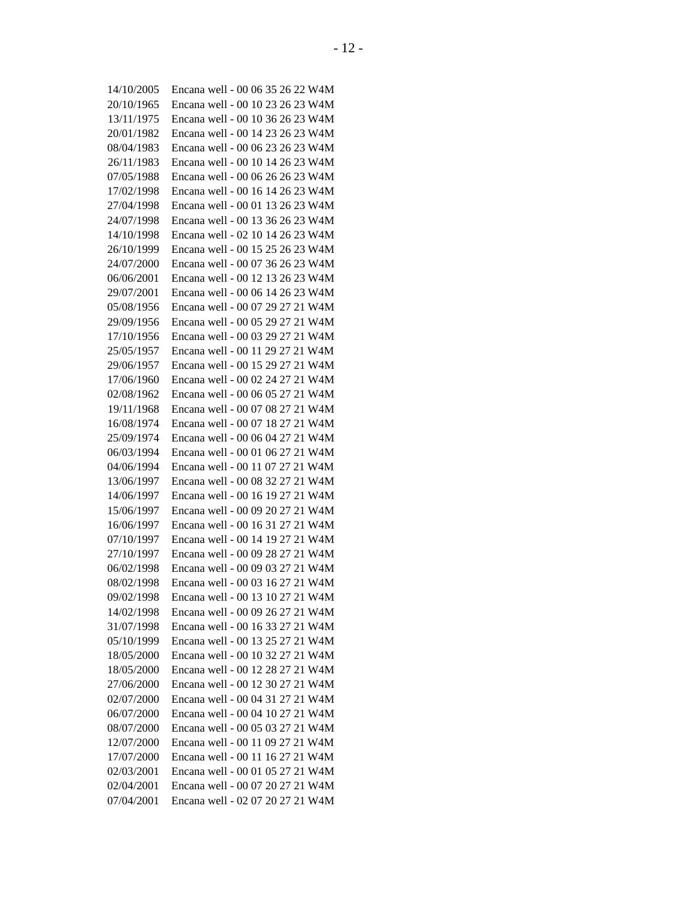| 14/10/2005 | Encana well - 00 06 35 26 22 W4M |
|------------|----------------------------------|
| 20/10/1965 | Encana well - 00 10 23 26 23 W4M |
| 13/11/1975 | Encana well - 00 10 36 26 23 W4M |
| 20/01/1982 | Encana well - 00 14 23 26 23 W4M |
| 08/04/1983 | Encana well - 00 06 23 26 23 W4M |
| 26/11/1983 | Encana well - 00 10 14 26 23 W4M |
| 07/05/1988 | Encana well - 00 06 26 26 23 W4M |
| 17/02/1998 | Encana well - 00 16 14 26 23 W4M |
| 27/04/1998 | Encana well - 00 01 13 26 23 W4M |
| 24/07/1998 | Encana well - 00 13 36 26 23 W4M |
| 14/10/1998 | Encana well - 02 10 14 26 23 W4M |
| 26/10/1999 | Encana well - 00 15 25 26 23 W4M |
| 24/07/2000 | Encana well - 00 07 36 26 23 W4M |
| 06/06/2001 | Encana well - 00 12 13 26 23 W4M |
| 29/07/2001 | Encana well - 00 06 14 26 23 W4M |
| 05/08/1956 | Encana well - 00 07 29 27 21 W4M |
| 29/09/1956 | Encana well - 00 05 29 27 21 W4M |
| 17/10/1956 | Encana well - 00 03 29 27 21 W4M |
| 25/05/1957 | Encana well - 00 11 29 27 21 W4M |
| 29/06/1957 | Encana well - 00 15 29 27 21 W4M |
| 17/06/1960 | Encana well - 00 02 24 27 21 W4M |
| 02/08/1962 | Encana well - 00 06 05 27 21 W4M |
| 19/11/1968 | Encana well - 00 07 08 27 21 W4M |
| 16/08/1974 | Encana well - 00 07 18 27 21 W4M |
| 25/09/1974 | Encana well - 00 06 04 27 21 W4M |
| 06/03/1994 | Encana well - 00 01 06 27 21 W4M |
| 04/06/1994 | Encana well - 00 11 07 27 21 W4M |
| 13/06/1997 | Encana well - 00 08 32 27 21 W4M |
| 14/06/1997 | Encana well - 00 16 19 27 21 W4M |
| 15/06/1997 | Encana well - 00 09 20 27 21 W4M |
| 16/06/1997 | Encana well - 00 16 31 27 21 W4M |
| 07/10/1997 | Encana well - 00 14 19 27 21 W4M |
| 27/10/1997 | Encana well - 00 09 28 27 21 W4M |
| 06/02/1998 | Encana well - 00 09 03 27 21 W4M |
| 08/02/1998 | Encana well - 00 03 16 27 21 W4M |
| 09/02/1998 | Encana well - 00 13 10 27 21 W4M |
| 14/02/1998 | Encana well - 00 09 26 27 21 W4M |
| 31/07/1998 | Encana well - 00 16 33 27 21 W4M |
| 05/10/1999 | Encana well - 00 13 25 27 21 W4M |
| 18/05/2000 | Encana well - 00 10 32 27 21 W4M |
| 18/05/2000 | Encana well - 00 12 28 27 21 W4M |
| 27/06/2000 | Encana well - 00 12 30 27 21 W4M |
| 02/07/2000 | Encana well - 00 04 31 27 21 W4M |
| 06/07/2000 | Encana well - 00 04 10 27 21 W4M |
| 08/07/2000 | Encana well - 00 05 03 27 21 W4M |
| 12/07/2000 | Encana well - 00 11 09 27 21 W4M |
| 17/07/2000 | Encana well - 00 11 16 27 21 W4M |
| 02/03/2001 | Encana well - 00 01 05 27 21 W4M |
| 02/04/2001 | Encana well - 00 07 20 27 21 W4M |
| 07/04/2001 | Encana well - 02 07 20 27 21 W4M |
|            |                                  |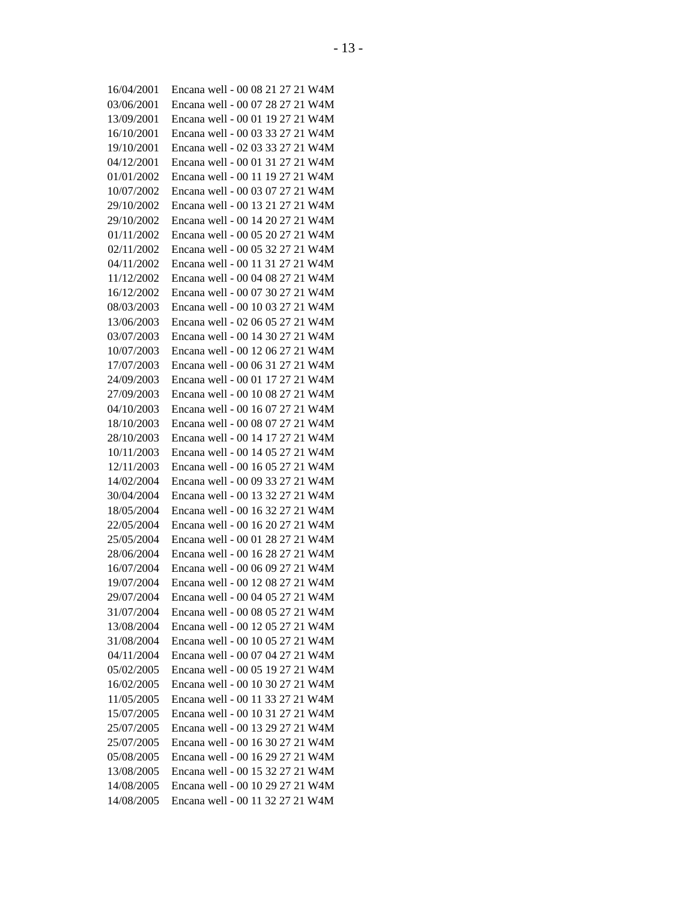| 16/04/2001 | Encana well - 00 08 21 27 21 W4M |
|------------|----------------------------------|
| 03/06/2001 | Encana well - 00 07 28 27 21 W4M |
| 13/09/2001 | Encana well - 00 01 19 27 21 W4M |
| 16/10/2001 | Encana well - 00 03 33 27 21 W4M |
| 19/10/2001 | Encana well - 02 03 33 27 21 W4M |
| 04/12/2001 | Encana well - 00 01 31 27 21 W4M |
| 01/01/2002 | Encana well - 00 11 19 27 21 W4M |
| 10/07/2002 | Encana well - 00 03 07 27 21 W4M |
| 29/10/2002 | Encana well - 00 13 21 27 21 W4M |
| 29/10/2002 | Encana well - 00 14 20 27 21 W4M |
| 01/11/2002 | Encana well - 00 05 20 27 21 W4M |
| 02/11/2002 | Encana well - 00 05 32 27 21 W4M |
| 04/11/2002 | Encana well - 00 11 31 27 21 W4M |
| 11/12/2002 | Encana well - 00 04 08 27 21 W4M |
| 16/12/2002 | Encana well - 00 07 30 27 21 W4M |
| 08/03/2003 | Encana well - 00 10 03 27 21 W4M |
| 13/06/2003 | Encana well - 02 06 05 27 21 W4M |
| 03/07/2003 | Encana well - 00 14 30 27 21 W4M |
| 10/07/2003 | Encana well - 00 12 06 27 21 W4M |
| 17/07/2003 | Encana well - 00 06 31 27 21 W4M |
| 24/09/2003 | Encana well - 00 01 17 27 21 W4M |
| 27/09/2003 | Encana well - 00 10 08 27 21 W4M |
| 04/10/2003 | Encana well - 00 16 07 27 21 W4M |
| 18/10/2003 | Encana well - 00 08 07 27 21 W4M |
| 28/10/2003 | Encana well - 00 14 17 27 21 W4M |
| 10/11/2003 | Encana well - 00 14 05 27 21 W4M |
| 12/11/2003 | Encana well - 00 16 05 27 21 W4M |
| 14/02/2004 | Encana well - 00 09 33 27 21 W4M |
| 30/04/2004 | Encana well - 00 13 32 27 21 W4M |
| 18/05/2004 | Encana well - 00 16 32 27 21 W4M |
| 22/05/2004 | Encana well - 00 16 20 27 21 W4M |
| 25/05/2004 | Encana well - 00 01 28 27 21 W4M |
| 28/06/2004 | Encana well - 00 16 28 27 21 W4M |
| 16/07/2004 | Encana well - 00 06 09 27 21 W4M |
| 19/07/2004 | Encana well - 00 12 08 27 21 W4M |
| 29/07/2004 | Encana well - 00 04 05 27 21 W4M |
| 31/07/2004 | Encana well - 00 08 05 27 21 W4M |
| 13/08/2004 | Encana well - 00 12 05 27 21 W4M |
| 31/08/2004 | Encana well - 00 10 05 27 21 W4M |
| 04/11/2004 | Encana well - 00 07 04 27 21 W4M |
| 05/02/2005 | Encana well - 00 05 19 27 21 W4M |
| 16/02/2005 | Encana well - 00 10 30 27 21 W4M |
| 11/05/2005 | Encana well - 00 11 33 27 21 W4M |
| 15/07/2005 | Encana well - 00 10 31 27 21 W4M |
|            | Encana well - 00 13 29 27 21 W4M |
| 25/07/2005 |                                  |
| 25/07/2005 | Encana well - 00 16 30 27 21 W4M |
| 05/08/2005 | Encana well - 00 16 29 27 21 W4M |
| 13/08/2005 | Encana well - 00 15 32 27 21 W4M |
| 14/08/2005 | Encana well - 00 10 29 27 21 W4M |
| 14/08/2005 | Encana well - 00 11 32 27 21 W4M |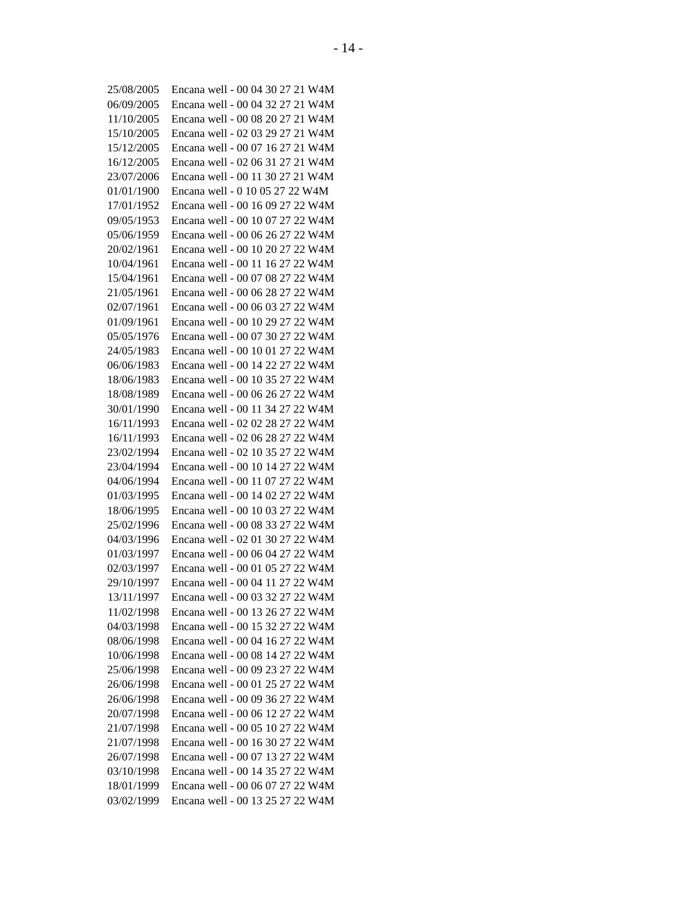| 25/08/2005               | Encana well - 00 04 30 27 21 W4M |
|--------------------------|----------------------------------|
| 06/09/2005               | Encana well - 00 04 32 27 21 W4M |
| 11/10/2005               | Encana well - 00 08 20 27 21 W4M |
| 15/10/2005               | Encana well - 02 03 29 27 21 W4M |
| 15/12/2005               | Encana well - 00 07 16 27 21 W4M |
| 16/12/2005               | Encana well - 02 06 31 27 21 W4M |
| 23/07/2006               | Encana well - 00 11 30 27 21 W4M |
| 01/01/1900               | Encana well - 0 10 05 27 22 W4M  |
| 17/01/1952               | Encana well - 00 16 09 27 22 W4M |
| 09/05/1953               | Encana well - 00 10 07 27 22 W4M |
| 05/06/1959               | Encana well - 00 06 26 27 22 W4M |
| 20/02/1961               | Encana well - 00 10 20 27 22 W4M |
| 10/04/1961               | Encana well - 00 11 16 27 22 W4M |
| 15/04/1961               | Encana well - 00 07 08 27 22 W4M |
| 21/05/1961               | Encana well - 00 06 28 27 22 W4M |
| 02/07/1961               | Encana well - 00 06 03 27 22 W4M |
| 01/09/1961               | Encana well - 00 10 29 27 22 W4M |
| 05/05/1976               | Encana well - 00 07 30 27 22 W4M |
| 24/05/1983               | Encana well - 00 10 01 27 22 W4M |
| 06/06/1983               | Encana well - 00 14 22 27 22 W4M |
| 18/06/1983               | Encana well - 00 10 35 27 22 W4M |
| 18/08/1989               | Encana well - 00 06 26 27 22 W4M |
| 30/01/1990               | Encana well - 00 11 34 27 22 W4M |
| 16/11/1993               | Encana well - 02 02 28 27 22 W4M |
| 16/11/1993               | Encana well - 02 06 28 27 22 W4M |
| 23/02/1994               | Encana well - 02 10 35 27 22 W4M |
| 23/04/1994               | Encana well - 00 10 14 27 22 W4M |
| 04/06/1994               | Encana well - 00 11 07 27 22 W4M |
| 01/03/1995               | Encana well - 00 14 02 27 22 W4M |
| 18/06/1995               | Encana well - 00 10 03 27 22 W4M |
| 25/02/1996               | Encana well - 00 08 33 27 22 W4M |
| 04/03/1996               | Encana well - 02 01 30 27 22 W4M |
| 01/03/1997               | Encana well - 00 06 04 27 22 W4M |
| 02/03/1997               | Encana well - 00 01 05 27 22 W4M |
| 29/10/1997               | Encana well - 00 04 11 27 22 W4M |
| 13/11/1997               | Encana well - 00 03 32 27 22 W4M |
| 11/02/1998               | Encana well - 00 13 26 27 22 W4M |
| 04/03/1998               | Encana well - 00 15 32 27 22 W4M |
|                          | Encana well - 00 04 16 27 22 W4M |
| 08/06/1998<br>10/06/1998 | Encana well - 00 08 14 27 22 W4M |
|                          | Encana well - 00 09 23 27 22 W4M |
| 25/06/1998               |                                  |
| 26/06/1998               | Encana well - 00 01 25 27 22 W4M |
| 26/06/1998               | Encana well - 00 09 36 27 22 W4M |
| 20/07/1998               | Encana well - 00 06 12 27 22 W4M |
| 21/07/1998               | Encana well - 00 05 10 27 22 W4M |
| 21/07/1998               | Encana well - 00 16 30 27 22 W4M |
| 26/07/1998               | Encana well - 00 07 13 27 22 W4M |
| 03/10/1998               | Encana well - 00 14 35 27 22 W4M |
| 18/01/1999               | Encana well - 00 06 07 27 22 W4M |
| 03/02/1999               | Encana well - 00 13 25 27 22 W4M |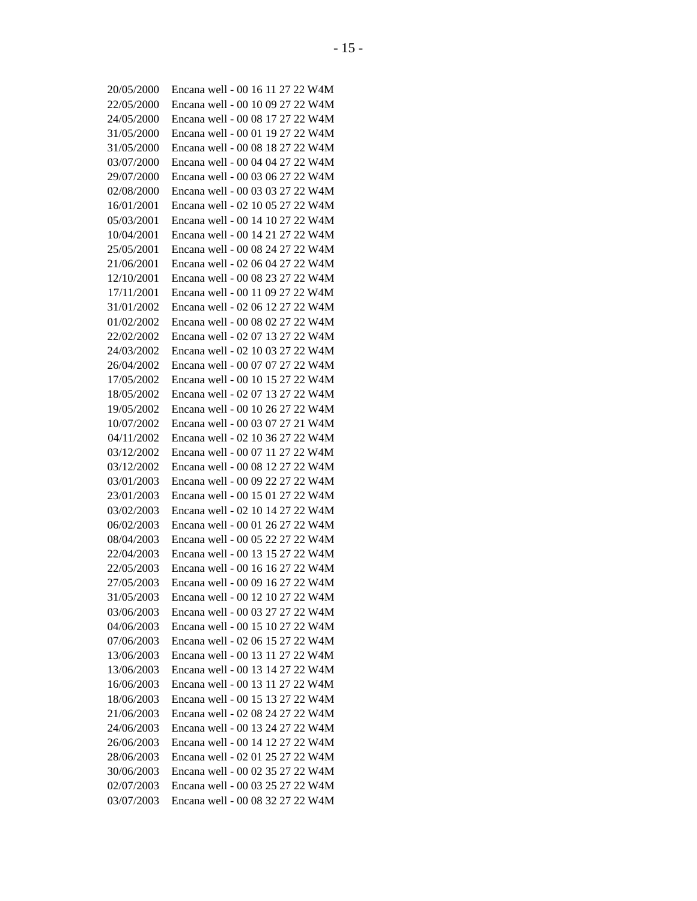| 20/05/2000 | Encana well - 00 16 11 27 22 W4M |
|------------|----------------------------------|
| 22/05/2000 | Encana well - 00 10 09 27 22 W4M |
| 24/05/2000 | Encana well - 00 08 17 27 22 W4M |
| 31/05/2000 | Encana well - 00 01 19 27 22 W4M |
| 31/05/2000 | Encana well - 00 08 18 27 22 W4M |
| 03/07/2000 | Encana well - 00 04 04 27 22 W4M |
| 29/07/2000 | Encana well - 00 03 06 27 22 W4M |
| 02/08/2000 | Encana well - 00 03 03 27 22 W4M |
| 16/01/2001 | Encana well - 02 10 05 27 22 W4M |
| 05/03/2001 | Encana well - 00 14 10 27 22 W4M |
| 10/04/2001 | Encana well - 00 14 21 27 22 W4M |
| 25/05/2001 | Encana well - 00 08 24 27 22 W4M |
| 21/06/2001 | Encana well - 02 06 04 27 22 W4M |
| 12/10/2001 | Encana well - 00 08 23 27 22 W4M |
| 17/11/2001 | Encana well - 00 11 09 27 22 W4M |
| 31/01/2002 | Encana well - 02 06 12 27 22 W4M |
| 01/02/2002 | Encana well - 00 08 02 27 22 W4M |
| 22/02/2002 | Encana well - 02 07 13 27 22 W4M |
| 24/03/2002 | Encana well - 02 10 03 27 22 W4M |
| 26/04/2002 | Encana well - 00 07 07 27 22 W4M |
| 17/05/2002 | Encana well - 00 10 15 27 22 W4M |
| 18/05/2002 | Encana well - 02 07 13 27 22 W4M |
| 19/05/2002 | Encana well - 00 10 26 27 22 W4M |
| 10/07/2002 | Encana well - 00 03 07 27 21 W4M |
| 04/11/2002 | Encana well - 02 10 36 27 22 W4M |
| 03/12/2002 | Encana well - 00 07 11 27 22 W4M |
| 03/12/2002 | Encana well - 00 08 12 27 22 W4M |
| 03/01/2003 | Encana well - 00 09 22 27 22 W4M |
| 23/01/2003 | Encana well - 00 15 01 27 22 W4M |
| 03/02/2003 | Encana well - 02 10 14 27 22 W4M |
| 06/02/2003 | Encana well - 00 01 26 27 22 W4M |
| 08/04/2003 | Encana well - 00 05 22 27 22 W4M |
| 22/04/2003 | Encana well - 00 13 15 27 22 W4M |
| 22/05/2003 | Encana well - 00 16 16 27 22 W4M |
| 27/05/2003 | Encana well - 00 09 16 27 22 W4M |
| 31/05/2003 | Encana well - 00 12 10 27 22 W4M |
| 03/06/2003 | Encana well - 00 03 27 27 22 W4M |
| 04/06/2003 | Encana well - 00 15 10 27 22 W4M |
| 07/06/2003 | Encana well - 02 06 15 27 22 W4M |
| 13/06/2003 | Encana well - 00 13 11 27 22 W4M |
| 13/06/2003 | Encana well - 00 13 14 27 22 W4M |
|            |                                  |
| 16/06/2003 | Encana well - 00 13 11 27 22 W4M |
| 18/06/2003 | Encana well - 00 15 13 27 22 W4M |
| 21/06/2003 | Encana well - 02 08 24 27 22 W4M |
| 24/06/2003 | Encana well - 00 13 24 27 22 W4M |
| 26/06/2003 | Encana well - 00 14 12 27 22 W4M |
| 28/06/2003 | Encana well - 02 01 25 27 22 W4M |
| 30/06/2003 | Encana well - 00 02 35 27 22 W4M |
| 02/07/2003 | Encana well - 00 03 25 27 22 W4M |
| 03/07/2003 | Encana well - 00 08 32 27 22 W4M |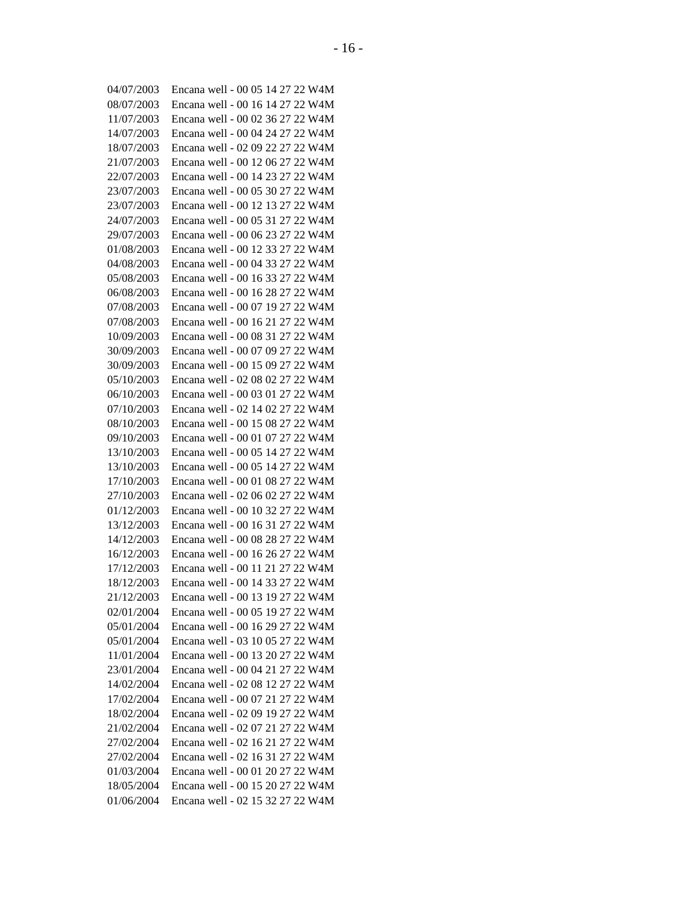| 04/07/2003 | Encana well - 00 05 14 27 22 W4M |
|------------|----------------------------------|
| 08/07/2003 | Encana well - 00 16 14 27 22 W4M |
| 11/07/2003 | Encana well - 00 02 36 27 22 W4M |
| 14/07/2003 | Encana well - 00 04 24 27 22 W4M |
| 18/07/2003 | Encana well - 02 09 22 27 22 W4M |
| 21/07/2003 | Encana well - 00 12 06 27 22 W4M |
| 22/07/2003 | Encana well - 00 14 23 27 22 W4M |
| 23/07/2003 | Encana well - 00 05 30 27 22 W4M |
| 23/07/2003 | Encana well - 00 12 13 27 22 W4M |
| 24/07/2003 | Encana well - 00 05 31 27 22 W4M |
| 29/07/2003 | Encana well - 00 06 23 27 22 W4M |
| 01/08/2003 | Encana well - 00 12 33 27 22 W4M |
| 04/08/2003 | Encana well - 00 04 33 27 22 W4M |
| 05/08/2003 | Encana well - 00 16 33 27 22 W4M |
| 06/08/2003 | Encana well - 00 16 28 27 22 W4M |
| 07/08/2003 | Encana well - 00 07 19 27 22 W4M |
| 07/08/2003 | Encana well - 00 16 21 27 22 W4M |
| 10/09/2003 | Encana well - 00 08 31 27 22 W4M |
| 30/09/2003 | Encana well - 00 07 09 27 22 W4M |
| 30/09/2003 | Encana well - 00 15 09 27 22 W4M |
| 05/10/2003 | Encana well - 02 08 02 27 22 W4M |
| 06/10/2003 | Encana well - 00 03 01 27 22 W4M |
| 07/10/2003 | Encana well - 02 14 02 27 22 W4M |
| 08/10/2003 | Encana well - 00 15 08 27 22 W4M |
| 09/10/2003 | Encana well - 00 01 07 27 22 W4M |
| 13/10/2003 | Encana well - 00 05 14 27 22 W4M |
| 13/10/2003 | Encana well - 00 05 14 27 22 W4M |
| 17/10/2003 | Encana well - 00 01 08 27 22 W4M |
| 27/10/2003 | Encana well - 02 06 02 27 22 W4M |
| 01/12/2003 | Encana well - 00 10 32 27 22 W4M |
| 13/12/2003 | Encana well - 00 16 31 27 22 W4M |
| 14/12/2003 | Encana well - 00 08 28 27 22 W4M |
| 16/12/2003 | Encana well - 00 16 26 27 22 W4M |
| 17/12/2003 | Encana well - 00 11 21 27 22 W4M |
| 18/12/2003 | Encana well - 00 14 33 27 22 W4M |
| 21/12/2003 | Encana well - 00 13 19 27 22 W4M |
| 02/01/2004 | Encana well - 00 05 19 27 22 W4M |
| 05/01/2004 | Encana well - 00 16 29 27 22 W4M |
| 05/01/2004 | Encana well - 03 10 05 27 22 W4M |
| 11/01/2004 | Encana well - 00 13 20 27 22 W4M |
| 23/01/2004 | Encana well - 00 04 21 27 22 W4M |
| 14/02/2004 | Encana well - 02 08 12 27 22 W4M |
| 17/02/2004 | Encana well - 00 07 21 27 22 W4M |
| 18/02/2004 | Encana well - 02 09 19 27 22 W4M |
| 21/02/2004 | Encana well - 02 07 21 27 22 W4M |
| 27/02/2004 | Encana well - 02 16 21 27 22 W4M |
| 27/02/2004 | Encana well - 02 16 31 27 22 W4M |
| 01/03/2004 | Encana well - 00 01 20 27 22 W4M |
| 18/05/2004 | Encana well - 00 15 20 27 22 W4M |
| 01/06/2004 | Encana well - 02 15 32 27 22 W4M |
|            |                                  |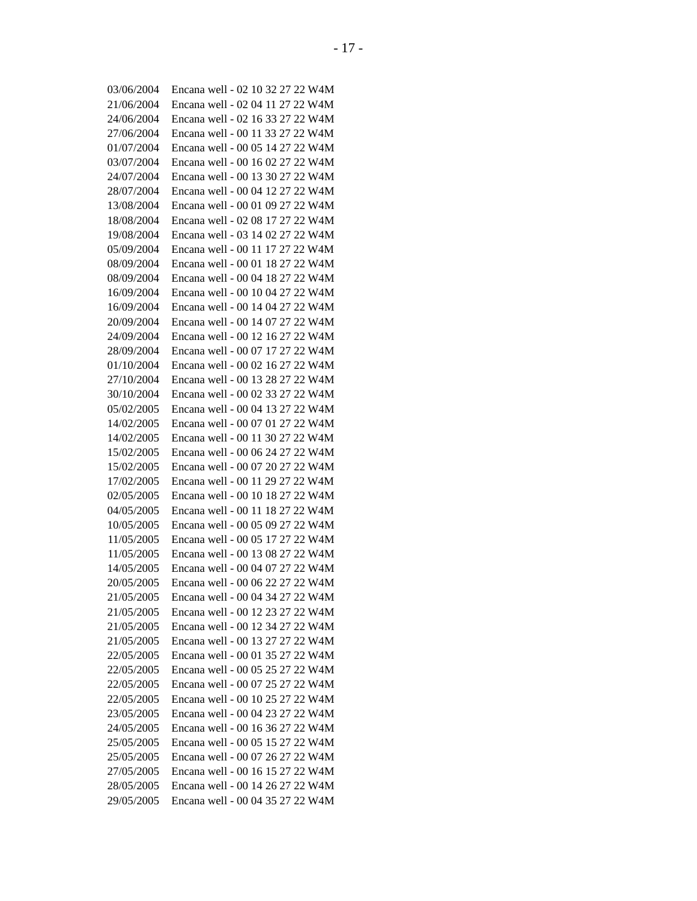| 03/06/2004               | Encana well - 02 10 32 27 22 W4M                                     |
|--------------------------|----------------------------------------------------------------------|
| 21/06/2004               | Encana well - 02 04 11 27 22 W4M                                     |
| 24/06/2004               | Encana well - 02 16 33 27 22 W4M                                     |
| 27/06/2004               | Encana well - 00 11 33 27 22 W4M                                     |
| 01/07/2004               | Encana well - 00 05 14 27 22 W4M                                     |
| 03/07/2004               | Encana well - 00 16 02 27 22 W4M                                     |
| 24/07/2004               | Encana well - 00 13 30 27 22 W4M                                     |
| 28/07/2004               | Encana well - 00 04 12 27 22 W4M                                     |
| 13/08/2004               | Encana well - 00 01 09 27 22 W4M                                     |
| 18/08/2004               | Encana well - 02 08 17 27 22 W4M                                     |
| 19/08/2004               | Encana well - 03 14 02 27 22 W4M                                     |
| 05/09/2004               | Encana well - 00 11 17 27 22 W4M                                     |
| 08/09/2004               | Encana well - 00 01 18 27 22 W4M                                     |
| 08/09/2004               | Encana well - 00 04 18 27 22 W4M                                     |
| 16/09/2004               | Encana well - 00 10 04 27 22 W4M                                     |
| 16/09/2004               | Encana well - 00 14 04 27 22 W4M                                     |
| 20/09/2004               | Encana well - 00 14 07 27 22 W4M                                     |
| 24/09/2004               | Encana well - 00 12 16 27 22 W4M                                     |
| 28/09/2004               | Encana well - 00 07 17 27 22 W4M                                     |
| 01/10/2004               | Encana well - 00 02 16 27 22 W4M                                     |
| 27/10/2004               | Encana well - 00 13 28 27 22 W4M                                     |
| 30/10/2004               | Encana well - 00 02 33 27 22 W4M                                     |
| 05/02/2005               | Encana well - 00 04 13 27 22 W4M                                     |
| 14/02/2005               | Encana well - 00 07 01 27 22 W4M                                     |
| 14/02/2005               | Encana well - 00 11 30 27 22 W4M                                     |
| 15/02/2005               | Encana well - 00 06 24 27 22 W4M                                     |
| 15/02/2005               | Encana well - 00 07 20 27 22 W4M                                     |
| 17/02/2005               | Encana well - 00 11 29 27 22 W4M                                     |
| 02/05/2005               | Encana well - 00 10 18 27 22 W4M                                     |
| 04/05/2005               | Encana well - 00 11 18 27 22 W4M                                     |
| 10/05/2005               | Encana well - 00 05 09 27 22 W4M                                     |
| 11/05/2005               | Encana well - 00 05 17 27 22 W4M                                     |
| 11/05/2005               | Encana well - 00 13 08 27 22 W4M                                     |
| 14/05/2005               | Encana well - 00 04 07 27 22 W4M                                     |
| 20/05/2005               | Encana well - 00 06 22 27 22 W4M                                     |
| 21/05/2005               | Encana well - 00 04 34 27 22 W4M                                     |
| 21/05/2005               | Encana well - 00 12 23 27 22 W4M                                     |
| 21/05/2005               | Encana well - 00 12 34 27 22 W4M                                     |
|                          |                                                                      |
| 21/05/2005<br>22/05/2005 | Encana well - 00 13 27 27 22 W4M<br>Encana well - 00 01 35 27 22 W4M |
|                          |                                                                      |
| 22/05/2005               | Encana well - 00 05 25 27 22 W4M                                     |
| 22/05/2005               | Encana well - 00 07 25 27 22 W4M                                     |
| 22/05/2005               | Encana well - 00 10 25 27 22 W4M                                     |
| 23/05/2005               | Encana well - 00 04 23 27 22 W4M                                     |
| 24/05/2005               | Encana well - 00 16 36 27 22 W4M                                     |
| 25/05/2005               | Encana well - 00 05 15 27 22 W4M                                     |
| 25/05/2005               | Encana well - 00 07 26 27 22 W4M                                     |
| 27/05/2005               | Encana well - 00 16 15 27 22 W4M                                     |
| 28/05/2005               | Encana well - 00 14 26 27 22 W4M                                     |
| 29/05/2005               | Encana well - 00 04 35 27 22 W4M                                     |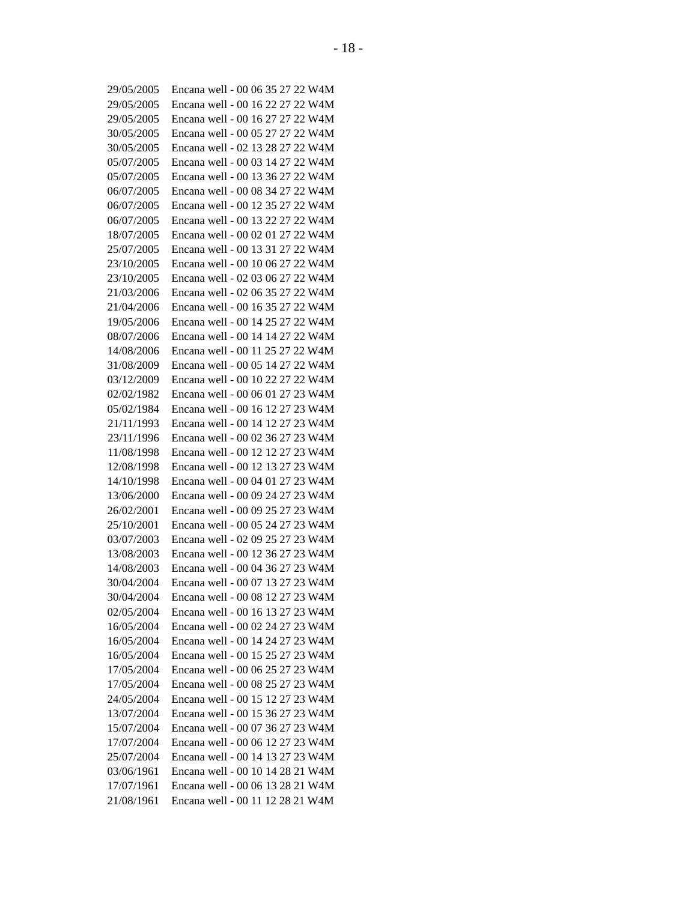| 29/05/2005 | Encana well - 00 06 35 27 22 W4M |
|------------|----------------------------------|
| 29/05/2005 | Encana well - 00 16 22 27 22 W4M |
| 29/05/2005 | Encana well - 00 16 27 27 22 W4M |
| 30/05/2005 | Encana well - 00 05 27 27 22 W4M |
| 30/05/2005 | Encana well - 02 13 28 27 22 W4M |
| 05/07/2005 | Encana well - 00 03 14 27 22 W4M |
| 05/07/2005 | Encana well - 00 13 36 27 22 W4M |
| 06/07/2005 | Encana well - 00 08 34 27 22 W4M |
| 06/07/2005 | Encana well - 00 12 35 27 22 W4M |
| 06/07/2005 | Encana well - 00 13 22 27 22 W4M |
| 18/07/2005 | Encana well - 00 02 01 27 22 W4M |
| 25/07/2005 | Encana well - 00 13 31 27 22 W4M |
| 23/10/2005 | Encana well - 00 10 06 27 22 W4M |
| 23/10/2005 | Encana well - 02 03 06 27 22 W4M |
| 21/03/2006 | Encana well - 02 06 35 27 22 W4M |
| 21/04/2006 | Encana well - 00 16 35 27 22 W4M |
| 19/05/2006 | Encana well - 00 14 25 27 22 W4M |
| 08/07/2006 | Encana well - 00 14 14 27 22 W4M |
| 14/08/2006 | Encana well - 00 11 25 27 22 W4M |
| 31/08/2009 | Encana well - 00 05 14 27 22 W4M |
| 03/12/2009 | Encana well - 00 10 22 27 22 W4M |
| 02/02/1982 | Encana well - 00 06 01 27 23 W4M |
| 05/02/1984 | Encana well - 00 16 12 27 23 W4M |
| 21/11/1993 | Encana well - 00 14 12 27 23 W4M |
| 23/11/1996 | Encana well - 00 02 36 27 23 W4M |
| 11/08/1998 | Encana well - 00 12 12 27 23 W4M |
| 12/08/1998 | Encana well - 00 12 13 27 23 W4M |
| 14/10/1998 | Encana well - 00 04 01 27 23 W4M |
| 13/06/2000 | Encana well - 00 09 24 27 23 W4M |
| 26/02/2001 | Encana well - 00 09 25 27 23 W4M |
| 25/10/2001 | Encana well - 00 05 24 27 23 W4M |
| 03/07/2003 | Encana well - 02 09 25 27 23 W4M |
| 13/08/2003 | Encana well - 00 12 36 27 23 W4M |
| 14/08/2003 | Encana well - 00 04 36 27 23 W4M |
| 30/04/2004 | Encana well - 00 07 13 27 23 W4M |
| 30/04/2004 | Encana well - 00 08 12 27 23 W4M |
| 02/05/2004 | Encana well - 00 16 13 27 23 W4M |
| 16/05/2004 | Encana well - 00 02 24 27 23 W4M |
| 16/05/2004 | Encana well - 00 14 24 27 23 W4M |
| 16/05/2004 | Encana well - 00 15 25 27 23 W4M |
| 17/05/2004 | Encana well - 00 06 25 27 23 W4M |
| 17/05/2004 | Encana well - 00 08 25 27 23 W4M |
| 24/05/2004 | Encana well - 00 15 12 27 23 W4M |
| 13/07/2004 | Encana well - 00 15 36 27 23 W4M |
|            |                                  |
| 15/07/2004 | Encana well - 00 07 36 27 23 W4M |
| 17/07/2004 | Encana well - 00 06 12 27 23 W4M |
| 25/07/2004 | Encana well - 00 14 13 27 23 W4M |
| 03/06/1961 | Encana well - 00 10 14 28 21 W4M |
| 17/07/1961 | Encana well - 00 06 13 28 21 W4M |
| 21/08/1961 | Encana well - 00 11 12 28 21 W4M |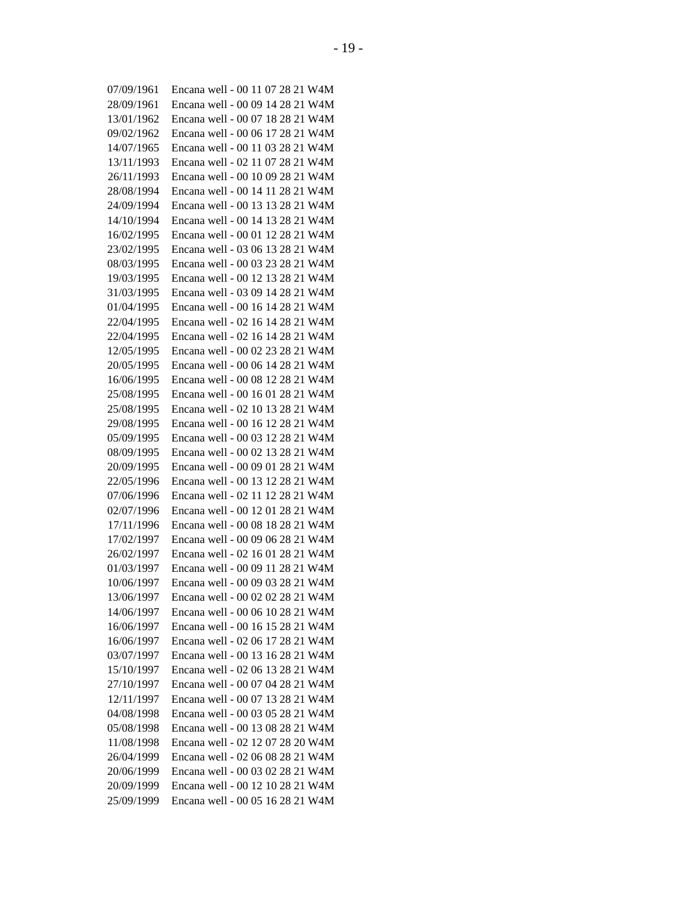| 07/09/1961 | Encana well - 00 11 07 28 21 W4M |
|------------|----------------------------------|
| 28/09/1961 | Encana well - 00 09 14 28 21 W4M |
| 13/01/1962 | Encana well - 00 07 18 28 21 W4M |
| 09/02/1962 | Encana well - 00 06 17 28 21 W4M |
| 14/07/1965 | Encana well - 00 11 03 28 21 W4M |
| 13/11/1993 | Encana well - 02 11 07 28 21 W4M |
| 26/11/1993 | Encana well - 00 10 09 28 21 W4M |
| 28/08/1994 | Encana well - 00 14 11 28 21 W4M |
| 24/09/1994 | Encana well - 00 13 13 28 21 W4M |
| 14/10/1994 | Encana well - 00 14 13 28 21 W4M |
| 16/02/1995 | Encana well - 00 01 12 28 21 W4M |
| 23/02/1995 | Encana well - 03 06 13 28 21 W4M |
| 08/03/1995 | Encana well - 00 03 23 28 21 W4M |
| 19/03/1995 | Encana well - 00 12 13 28 21 W4M |
| 31/03/1995 | Encana well - 03 09 14 28 21 W4M |
| 01/04/1995 | Encana well - 00 16 14 28 21 W4M |
| 22/04/1995 | Encana well - 02 16 14 28 21 W4M |
| 22/04/1995 | Encana well - 02 16 14 28 21 W4M |
| 12/05/1995 | Encana well - 00 02 23 28 21 W4M |
| 20/05/1995 | Encana well - 00 06 14 28 21 W4M |
| 16/06/1995 | Encana well - 00 08 12 28 21 W4M |
| 25/08/1995 | Encana well - 00 16 01 28 21 W4M |
| 25/08/1995 | Encana well - 02 10 13 28 21 W4M |
| 29/08/1995 | Encana well - 00 16 12 28 21 W4M |
| 05/09/1995 | Encana well - 00 03 12 28 21 W4M |
| 08/09/1995 | Encana well - 00 02 13 28 21 W4M |
| 20/09/1995 | Encana well - 00 09 01 28 21 W4M |
| 22/05/1996 | Encana well - 00 13 12 28 21 W4M |
| 07/06/1996 | Encana well - 02 11 12 28 21 W4M |
| 02/07/1996 | Encana well - 00 12 01 28 21 W4M |
| 17/11/1996 | Encana well - 00 08 18 28 21 W4M |
| 17/02/1997 | Encana well - 00 09 06 28 21 W4M |
| 26/02/1997 | Encana well - 02 16 01 28 21 W4M |
| 01/03/1997 | Encana well - 00 09 11 28 21 W4M |
| 10/06/1997 | Encana well - 00 09 03 28 21 W4M |
| 13/06/1997 | Encana well - 00 02 02 28 21 W4M |
| 14/06/1997 | Encana well - 00 06 10 28 21 W4M |
| 16/06/1997 | Encana well - 00 16 15 28 21 W4M |
|            | Encana well - 02 06 17 28 21 W4M |
| 16/06/1997 | Encana well - 00 13 16 28 21 W4M |
| 03/07/1997 | Encana well - 02 06 13 28 21 W4M |
| 15/10/1997 |                                  |
| 27/10/1997 | Encana well - 00 07 04 28 21 W4M |
| 12/11/1997 | Encana well - 00 07 13 28 21 W4M |
| 04/08/1998 | Encana well - 00 03 05 28 21 W4M |
| 05/08/1998 | Encana well - 00 13 08 28 21 W4M |
| 11/08/1998 | Encana well - 02 12 07 28 20 W4M |
| 26/04/1999 | Encana well - 02 06 08 28 21 W4M |
| 20/06/1999 | Encana well - 00 03 02 28 21 W4M |
| 20/09/1999 | Encana well - 00 12 10 28 21 W4M |
| 25/09/1999 | Encana well - 00 05 16 28 21 W4M |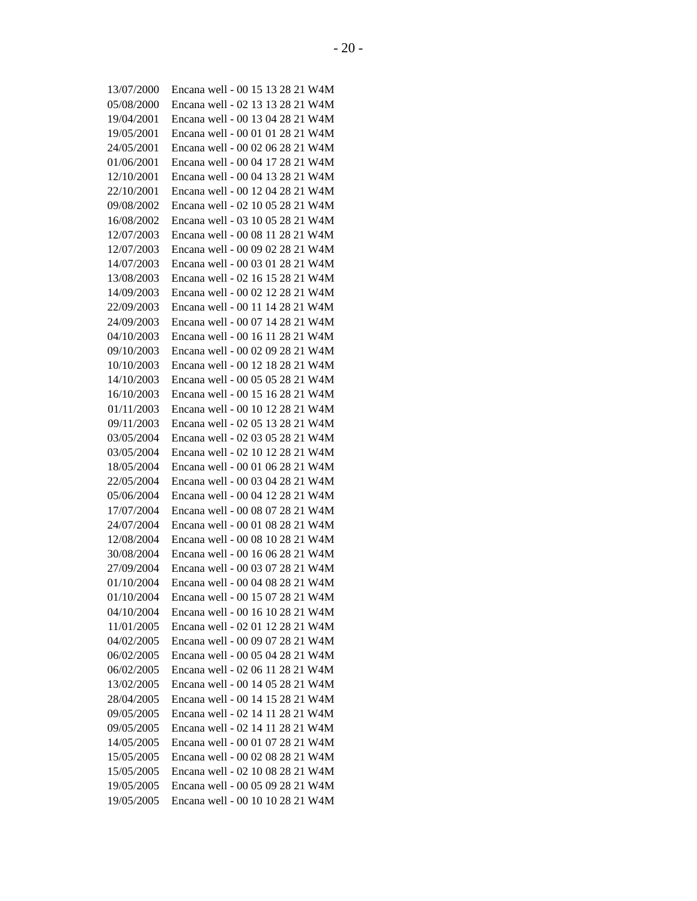| 13/07/2000 | Encana well - 00 15 13 28 21 W4M |
|------------|----------------------------------|
| 05/08/2000 | Encana well - 02 13 13 28 21 W4M |
| 19/04/2001 | Encana well - 00 13 04 28 21 W4M |
| 19/05/2001 | Encana well - 00 01 01 28 21 W4M |
| 24/05/2001 | Encana well - 00 02 06 28 21 W4M |
| 01/06/2001 | Encana well - 00 04 17 28 21 W4M |
| 12/10/2001 | Encana well - 00 04 13 28 21 W4M |
| 22/10/2001 | Encana well - 00 12 04 28 21 W4M |
| 09/08/2002 | Encana well - 02 10 05 28 21 W4M |
| 16/08/2002 | Encana well - 03 10 05 28 21 W4M |
| 12/07/2003 | Encana well - 00 08 11 28 21 W4M |
| 12/07/2003 | Encana well - 00 09 02 28 21 W4M |
| 14/07/2003 | Encana well - 00 03 01 28 21 W4M |
| 13/08/2003 | Encana well - 02 16 15 28 21 W4M |
| 14/09/2003 | Encana well - 00 02 12 28 21 W4M |
| 22/09/2003 | Encana well - 00 11 14 28 21 W4M |
| 24/09/2003 | Encana well - 00 07 14 28 21 W4M |
| 04/10/2003 | Encana well - 00 16 11 28 21 W4M |
| 09/10/2003 | Encana well - 00 02 09 28 21 W4M |
| 10/10/2003 | Encana well - 00 12 18 28 21 W4M |
| 14/10/2003 | Encana well - 00 05 05 28 21 W4M |
| 16/10/2003 | Encana well - 00 15 16 28 21 W4M |
| 01/11/2003 | Encana well - 00 10 12 28 21 W4M |
| 09/11/2003 | Encana well - 02 05 13 28 21 W4M |
| 03/05/2004 | Encana well - 02 03 05 28 21 W4M |
| 03/05/2004 | Encana well - 02 10 12 28 21 W4M |
| 18/05/2004 | Encana well - 00 01 06 28 21 W4M |
| 22/05/2004 | Encana well - 00 03 04 28 21 W4M |
| 05/06/2004 | Encana well - 00 04 12 28 21 W4M |
| 17/07/2004 | Encana well - 00 08 07 28 21 W4M |
| 24/07/2004 | Encana well - 00 01 08 28 21 W4M |
| 12/08/2004 | Encana well - 00 08 10 28 21 W4M |
| 30/08/2004 | Encana well - 00 16 06 28 21 W4M |
| 27/09/2004 | Encana well - 00 03 07 28 21 W4M |
| 01/10/2004 | Encana well - 00 04 08 28 21 W4M |
| 01/10/2004 | Encana well - 00 15 07 28 21 W4M |
| 04/10/2004 | Encana well - 00 16 10 28 21 W4M |
| 11/01/2005 | Encana well - 02 01 12 28 21 W4M |
| 04/02/2005 | Encana well - 00 09 07 28 21 W4M |
| 06/02/2005 | Encana well - 00 05 04 28 21 W4M |
| 06/02/2005 | Encana well - 02 06 11 28 21 W4M |
| 13/02/2005 | Encana well - 00 14 05 28 21 W4M |
| 28/04/2005 | Encana well - 00 14 15 28 21 W4M |
| 09/05/2005 | Encana well - 02 14 11 28 21 W4M |
| 09/05/2005 | Encana well - 02 14 11 28 21 W4M |
| 14/05/2005 | Encana well - 00 01 07 28 21 W4M |
| 15/05/2005 | Encana well - 00 02 08 28 21 W4M |
| 15/05/2005 | Encana well - 02 10 08 28 21 W4M |
| 19/05/2005 | Encana well - 00 05 09 28 21 W4M |
| 19/05/2005 | Encana well - 00 10 10 28 21 W4M |
|            |                                  |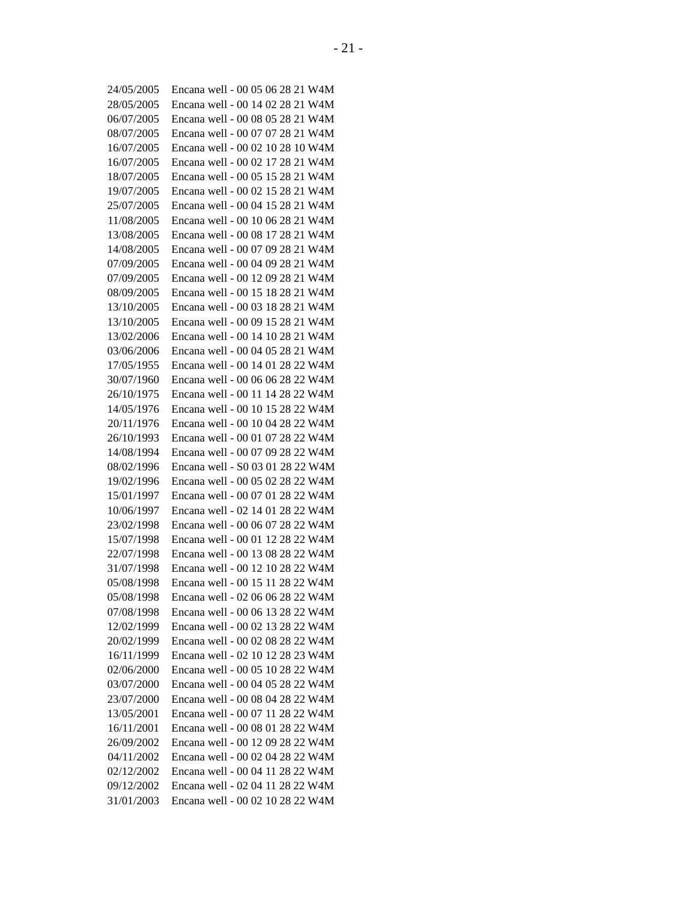| 24/05/2005               | Encana well - 00 05 06 28 21 W4M |
|--------------------------|----------------------------------|
| 28/05/2005               | Encana well - 00 14 02 28 21 W4M |
| 06/07/2005               | Encana well - 00 08 05 28 21 W4M |
| 08/07/2005               | Encana well - 00 07 07 28 21 W4M |
| 16/07/2005               | Encana well - 00 02 10 28 10 W4M |
| 16/07/2005               | Encana well - 00 02 17 28 21 W4M |
| 18/07/2005               | Encana well - 00 05 15 28 21 W4M |
| 19/07/2005               | Encana well - 00 02 15 28 21 W4M |
| 25/07/2005               | Encana well - 00 04 15 28 21 W4M |
| 11/08/2005               | Encana well - 00 10 06 28 21 W4M |
| 13/08/2005               | Encana well - 00 08 17 28 21 W4M |
| 14/08/2005               | Encana well - 00 07 09 28 21 W4M |
| 07/09/2005               | Encana well - 00 04 09 28 21 W4M |
| 07/09/2005               | Encana well - 00 12 09 28 21 W4M |
| 08/09/2005               | Encana well - 00 15 18 28 21 W4M |
| 13/10/2005               | Encana well - 00 03 18 28 21 W4M |
| 13/10/2005               | Encana well - 00 09 15 28 21 W4M |
| 13/02/2006               | Encana well - 00 14 10 28 21 W4M |
| 03/06/2006               | Encana well - 00 04 05 28 21 W4M |
| 17/05/1955               | Encana well - 00 14 01 28 22 W4M |
| 30/07/1960               | Encana well - 00 06 06 28 22 W4M |
| 26/10/1975               | Encana well - 00 11 14 28 22 W4M |
| 14/05/1976               | Encana well - 00 10 15 28 22 W4M |
| 20/11/1976               | Encana well - 00 10 04 28 22 W4M |
| 26/10/1993               | Encana well - 00 01 07 28 22 W4M |
| 14/08/1994               | Encana well - 00 07 09 28 22 W4M |
| 08/02/1996               | Encana well - S0 03 01 28 22 W4M |
| 19/02/1996               | Encana well - 00 05 02 28 22 W4M |
| 15/01/1997               | Encana well - 00 07 01 28 22 W4M |
| 10/06/1997               | Encana well - 02 14 01 28 22 W4M |
| 23/02/1998               | Encana well - 00 06 07 28 22 W4M |
| 15/07/1998               | Encana well - 00 01 12 28 22 W4M |
| 22/07/1998               | Encana well - 00 13 08 28 22 W4M |
| 31/07/1998               | Encana well - 00 12 10 28 22 W4M |
| 05/08/1998               | Encana well - 00 15 11 28 22 W4M |
| 05/08/1998               | Encana well - 02 06 06 28 22 W4M |
| 07/08/1998               | Encana well - 00 06 13 28 22 W4M |
| 12/02/1999               | Encana well - 00 02 13 28 22 W4M |
| 20/02/1999               | Encana well - 00 02 08 28 22 W4M |
| 16/11/1999               | Encana well - 02 10 12 28 23 W4M |
|                          | Encana well - 00 05 10 28 22 W4M |
| 02/06/2000<br>03/07/2000 | Encana well - 00 04 05 28 22 W4M |
| 23/07/2000               |                                  |
|                          | Encana well - 00 08 04 28 22 W4M |
| 13/05/2001               | Encana well - 00 07 11 28 22 W4M |
| 16/11/2001               | Encana well - 00 08 01 28 22 W4M |
| 26/09/2002               | Encana well - 00 12 09 28 22 W4M |
| 04/11/2002               | Encana well - 00 02 04 28 22 W4M |
| 02/12/2002               | Encana well - 00 04 11 28 22 W4M |
| 09/12/2002               | Encana well - 02 04 11 28 22 W4M |
| 31/01/2003               | Encana well - 00 02 10 28 22 W4M |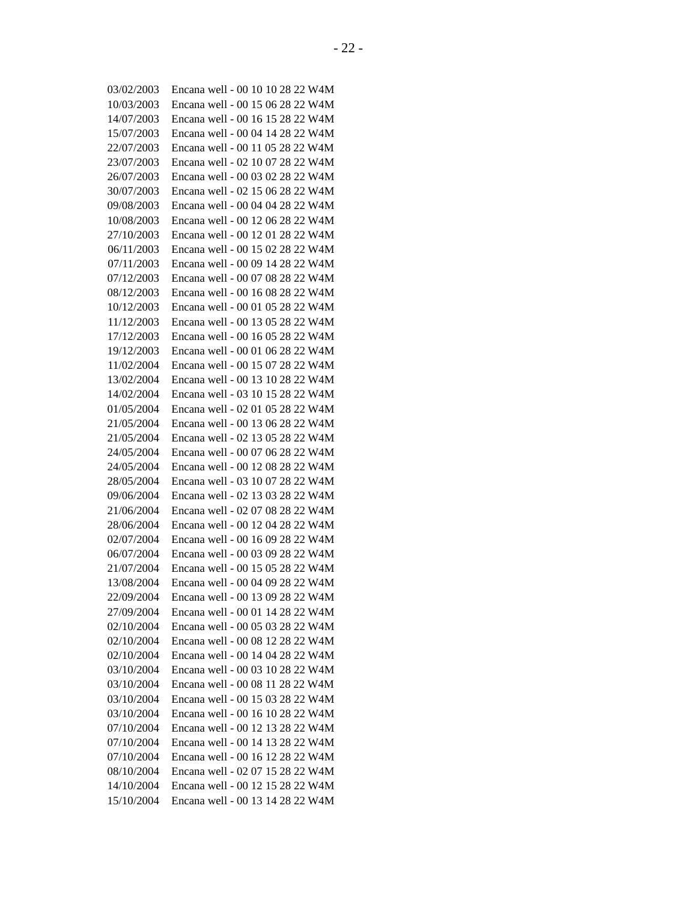| 03/02/2003 | Encana well - 00 10 10 28 22 W4M |
|------------|----------------------------------|
| 10/03/2003 | Encana well - 00 15 06 28 22 W4M |
| 14/07/2003 | Encana well - 00 16 15 28 22 W4M |
| 15/07/2003 | Encana well - 00 04 14 28 22 W4M |
| 22/07/2003 | Encana well - 00 11 05 28 22 W4M |
| 23/07/2003 | Encana well - 02 10 07 28 22 W4M |
| 26/07/2003 | Encana well - 00 03 02 28 22 W4M |
| 30/07/2003 | Encana well - 02 15 06 28 22 W4M |
| 09/08/2003 | Encana well - 00 04 04 28 22 W4M |
| 10/08/2003 | Encana well - 00 12 06 28 22 W4M |
| 27/10/2003 | Encana well - 00 12 01 28 22 W4M |
| 06/11/2003 | Encana well - 00 15 02 28 22 W4M |
| 07/11/2003 | Encana well - 00 09 14 28 22 W4M |
| 07/12/2003 | Encana well - 00 07 08 28 22 W4M |
| 08/12/2003 | Encana well - 00 16 08 28 22 W4M |
| 10/12/2003 | Encana well - 00 01 05 28 22 W4M |
| 11/12/2003 | Encana well - 00 13 05 28 22 W4M |
| 17/12/2003 | Encana well - 00 16 05 28 22 W4M |
| 19/12/2003 | Encana well - 00 01 06 28 22 W4M |
| 11/02/2004 | Encana well - 00 15 07 28 22 W4M |
| 13/02/2004 | Encana well - 00 13 10 28 22 W4M |
| 14/02/2004 | Encana well - 03 10 15 28 22 W4M |
| 01/05/2004 | Encana well - 02 01 05 28 22 W4M |
| 21/05/2004 | Encana well - 00 13 06 28 22 W4M |
| 21/05/2004 | Encana well - 02 13 05 28 22 W4M |
| 24/05/2004 | Encana well - 00 07 06 28 22 W4M |
| 24/05/2004 | Encana well - 00 12 08 28 22 W4M |
| 28/05/2004 | Encana well - 03 10 07 28 22 W4M |
| 09/06/2004 | Encana well - 02 13 03 28 22 W4M |
| 21/06/2004 | Encana well - 02 07 08 28 22 W4M |
| 28/06/2004 | Encana well - 00 12 04 28 22 W4M |
| 02/07/2004 | Encana well - 00 16 09 28 22 W4M |
| 06/07/2004 | Encana well - 00 03 09 28 22 W4M |
| 21/07/2004 | Encana well - 00 15 05 28 22 W4M |
| 13/08/2004 | Encana well - 00 04 09 28 22 W4M |
| 22/09/2004 | Encana well - 00 13 09 28 22 W4M |
| 27/09/2004 | Encana well - 00 01 14 28 22 W4M |
| 02/10/2004 | Encana well - 00 05 03 28 22 W4M |
| 02/10/2004 | Encana well - 00 08 12 28 22 W4M |
| 02/10/2004 | Encana well - 00 14 04 28 22 W4M |
| 03/10/2004 | Encana well - 00 03 10 28 22 W4M |
| 03/10/2004 | Encana well - 00 08 11 28 22 W4M |
| 03/10/2004 | Encana well - 00 15 03 28 22 W4M |
| 03/10/2004 | Encana well - 00 16 10 28 22 W4M |
| 07/10/2004 | Encana well - 00 12 13 28 22 W4M |
| 07/10/2004 | Encana well - 00 14 13 28 22 W4M |
| 07/10/2004 | Encana well - 00 16 12 28 22 W4M |
| 08/10/2004 | Encana well - 02 07 15 28 22 W4M |
| 14/10/2004 | Encana well - 00 12 15 28 22 W4M |
| 15/10/2004 | Encana well - 00 13 14 28 22 W4M |
|            |                                  |